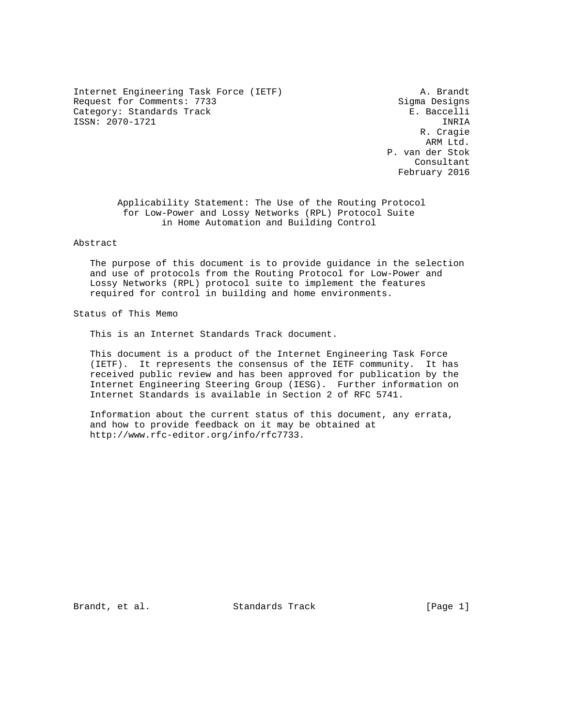Internet Engineering Task Force (IETF) A. Brandt Request for Comments: 7733 Sigma Designs Category: Standards Track E. Baccelli ISSN: 2070-1721 INRIA

 R. Cragie ARM Ltd. P. van der Stok Consultant February 2016

 Applicability Statement: The Use of the Routing Protocol for Low-Power and Lossy Networks (RPL) Protocol Suite in Home Automation and Building Control

Abstract

 The purpose of this document is to provide guidance in the selection and use of protocols from the Routing Protocol for Low-Power and Lossy Networks (RPL) protocol suite to implement the features required for control in building and home environments.

Status of This Memo

This is an Internet Standards Track document.

 This document is a product of the Internet Engineering Task Force (IETF). It represents the consensus of the IETF community. It has received public review and has been approved for publication by the Internet Engineering Steering Group (IESG). Further information on Internet Standards is available in Section 2 of RFC 5741.

 Information about the current status of this document, any errata, and how to provide feedback on it may be obtained at http://www.rfc-editor.org/info/rfc7733.

Brandt, et al. Standards Track [Page 1]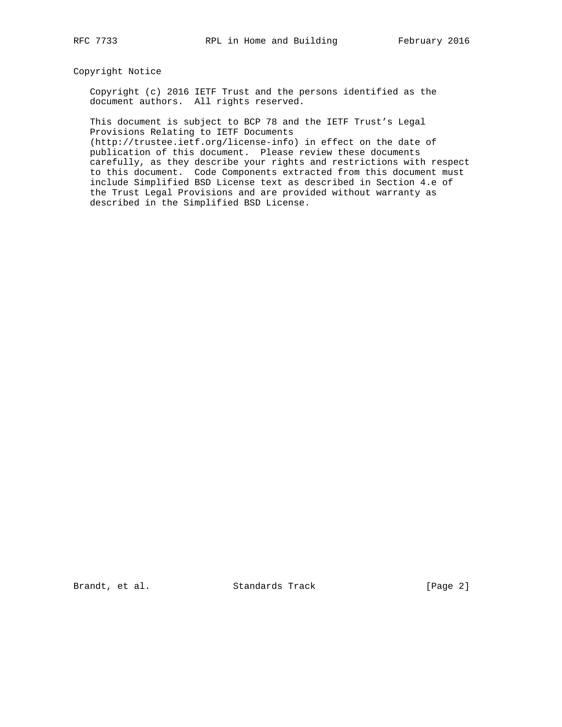### Copyright Notice

 Copyright (c) 2016 IETF Trust and the persons identified as the document authors. All rights reserved.

 This document is subject to BCP 78 and the IETF Trust's Legal Provisions Relating to IETF Documents

 (http://trustee.ietf.org/license-info) in effect on the date of publication of this document. Please review these documents carefully, as they describe your rights and restrictions with respect to this document. Code Components extracted from this document must include Simplified BSD License text as described in Section 4.e of the Trust Legal Provisions and are provided without warranty as described in the Simplified BSD License.

Brandt, et al. Standards Track [Page 2]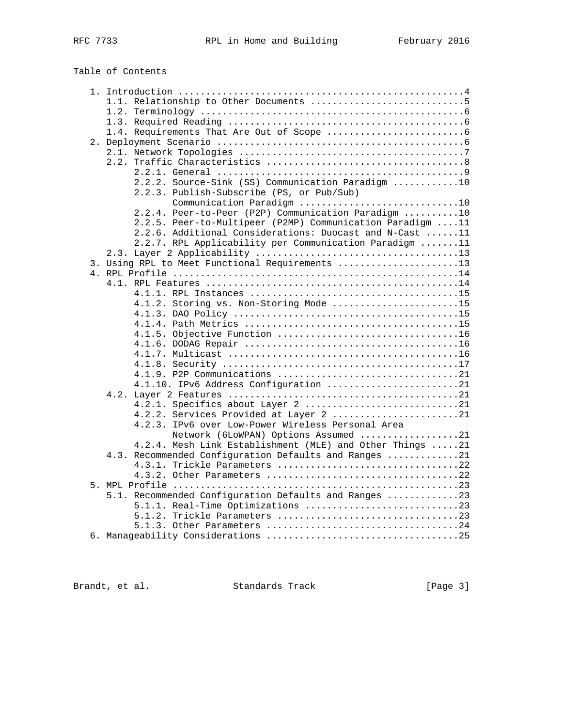| Table of Contents                                         |
|-----------------------------------------------------------|
|                                                           |
|                                                           |
|                                                           |
|                                                           |
|                                                           |
|                                                           |
|                                                           |
|                                                           |
|                                                           |
| 2.2.2. Source-Sink (SS) Communication Paradigm 10         |
| 2.2.3. Publish-Subscribe (PS, or Pub/Sub)                 |
| Communication Paradigm 10                                 |
| 2.2.4. Peer-to-Peer (P2P) Communication Paradigm 10       |
| 2.2.5. Peer-to-Multipeer (P2MP) Communication Paradigm 11 |
| 2.2.6. Additional Considerations: Duocast and N-Cast 11   |
| 2.2.7. RPL Applicability per Communication Paradigm 11    |
|                                                           |
| 3. Using RPL to Meet Functional Requirements 13           |
|                                                           |
|                                                           |
|                                                           |
| 4.1.2. Storing vs. Non-Storing Mode 15                    |
|                                                           |
|                                                           |
|                                                           |
|                                                           |
|                                                           |
|                                                           |
|                                                           |
| 4.1.10. IPv6 Address Configuration 21                     |
|                                                           |
| 4.2.1. Specifics about Layer 2 21                         |
| 4.2.2. Services Provided at Layer 2 21                    |
| 4.2.3. IPv6 over Low-Power Wireless Personal Area         |
| Network (6LoWPAN) Options Assumed 21                      |
| 4.2.4. Mesh Link Establishment (MLE) and Other Things 21  |
| 4.3. Recommended Configuration Defaults and Ranges 21     |
| 4.3.1. Trickle Parameters 22                              |
|                                                           |

 4.3.1. Trickle Parameters .................................22 4.3.2. Other Parameters ...................................22 5. MPL Profile ....................................................23 5.1. Recommended Configuration Defaults and Ranges .............23 5.1.1. Real-Time Optimizations ............................23 5.1.2. Trickle Parameters .................................23 5.1.3. Other Parameters ...................................24 6. Manageability Considerations ...................................25

Brandt, et al. Standards Track [Page 3]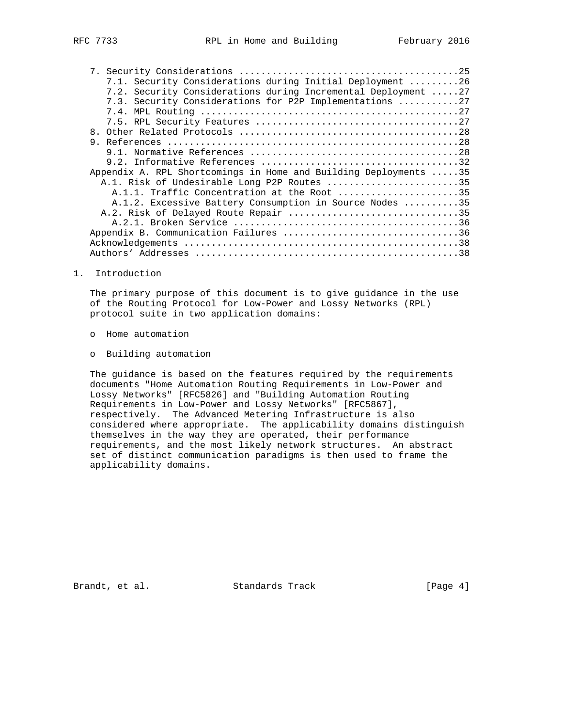| 7.1. Security Considerations during Initial Deployment 26        |
|------------------------------------------------------------------|
| 7.2. Security Considerations during Incremental Deployment 27    |
| 7.3. Security Considerations for P2P Implementations 27          |
|                                                                  |
|                                                                  |
| 8.                                                               |
| 9                                                                |
|                                                                  |
|                                                                  |
| Appendix A. RPL Shortcomings in Home and Building Deployments 35 |
| A.1. Risk of Undesirable Long P2P Routes 35                      |
| A.1.1. Traffic Concentration at the Root 35                      |
| A.1.2. Excessive Battery Consumption in Source Nodes 35          |
| A.2. Risk of Delayed Route Repair 35                             |
|                                                                  |
| Appendix B. Communication Failures 36                            |
|                                                                  |
|                                                                  |

1. Introduction

 The primary purpose of this document is to give guidance in the use of the Routing Protocol for Low-Power and Lossy Networks (RPL) protocol suite in two application domains:

- o Home automation
- o Building automation

 The guidance is based on the features required by the requirements documents "Home Automation Routing Requirements in Low-Power and Lossy Networks" [RFC5826] and "Building Automation Routing Requirements in Low-Power and Lossy Networks" [RFC5867], respectively. The Advanced Metering Infrastructure is also considered where appropriate. The applicability domains distinguish themselves in the way they are operated, their performance requirements, and the most likely network structures. An abstract set of distinct communication paradigms is then used to frame the applicability domains.

Brandt, et al. Standards Track [Page 4]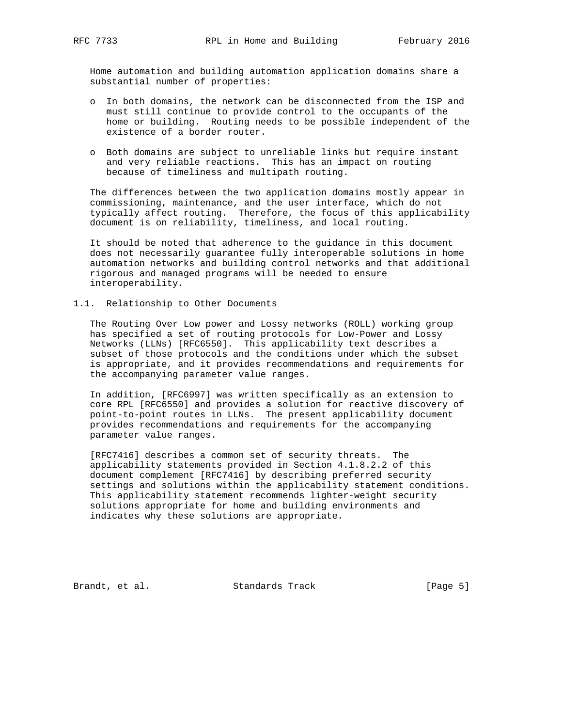Home automation and building automation application domains share a substantial number of properties:

- o In both domains, the network can be disconnected from the ISP and must still continue to provide control to the occupants of the home or building. Routing needs to be possible independent of the existence of a border router.
- o Both domains are subject to unreliable links but require instant and very reliable reactions. This has an impact on routing because of timeliness and multipath routing.

 The differences between the two application domains mostly appear in commissioning, maintenance, and the user interface, which do not typically affect routing. Therefore, the focus of this applicability document is on reliability, timeliness, and local routing.

 It should be noted that adherence to the guidance in this document does not necessarily guarantee fully interoperable solutions in home automation networks and building control networks and that additional rigorous and managed programs will be needed to ensure interoperability.

1.1. Relationship to Other Documents

 The Routing Over Low power and Lossy networks (ROLL) working group has specified a set of routing protocols for Low-Power and Lossy Networks (LLNs) [RFC6550]. This applicability text describes a subset of those protocols and the conditions under which the subset is appropriate, and it provides recommendations and requirements for the accompanying parameter value ranges.

 In addition, [RFC6997] was written specifically as an extension to core RPL [RFC6550] and provides a solution for reactive discovery of point-to-point routes in LLNs. The present applicability document provides recommendations and requirements for the accompanying parameter value ranges.

 [RFC7416] describes a common set of security threats. The applicability statements provided in Section 4.1.8.2.2 of this document complement [RFC7416] by describing preferred security settings and solutions within the applicability statement conditions. This applicability statement recommends lighter-weight security solutions appropriate for home and building environments and indicates why these solutions are appropriate.

Brandt, et al. Standards Track [Page 5]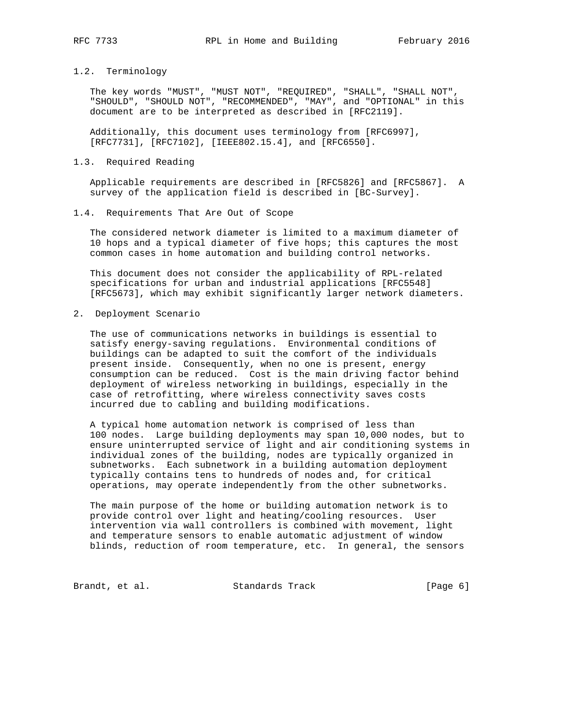## 1.2. Terminology

 The key words "MUST", "MUST NOT", "REQUIRED", "SHALL", "SHALL NOT", "SHOULD", "SHOULD NOT", "RECOMMENDED", "MAY", and "OPTIONAL" in this document are to be interpreted as described in [RFC2119].

 Additionally, this document uses terminology from [RFC6997], [RFC7731], [RFC7102], [IEEE802.15.4], and [RFC6550].

### 1.3. Required Reading

 Applicable requirements are described in [RFC5826] and [RFC5867]. A survey of the application field is described in [BC-Survey].

### 1.4. Requirements That Are Out of Scope

 The considered network diameter is limited to a maximum diameter of 10 hops and a typical diameter of five hops; this captures the most common cases in home automation and building control networks.

 This document does not consider the applicability of RPL-related specifications for urban and industrial applications [RFC5548] [RFC5673], which may exhibit significantly larger network diameters.

2. Deployment Scenario

 The use of communications networks in buildings is essential to satisfy energy-saving regulations. Environmental conditions of buildings can be adapted to suit the comfort of the individuals present inside. Consequently, when no one is present, energy consumption can be reduced. Cost is the main driving factor behind deployment of wireless networking in buildings, especially in the case of retrofitting, where wireless connectivity saves costs incurred due to cabling and building modifications.

 A typical home automation network is comprised of less than 100 nodes. Large building deployments may span 10,000 nodes, but to ensure uninterrupted service of light and air conditioning systems in individual zones of the building, nodes are typically organized in subnetworks. Each subnetwork in a building automation deployment typically contains tens to hundreds of nodes and, for critical operations, may operate independently from the other subnetworks.

 The main purpose of the home or building automation network is to provide control over light and heating/cooling resources. User intervention via wall controllers is combined with movement, light and temperature sensors to enable automatic adjustment of window blinds, reduction of room temperature, etc. In general, the sensors

Brandt, et al. Standards Track [Page 6]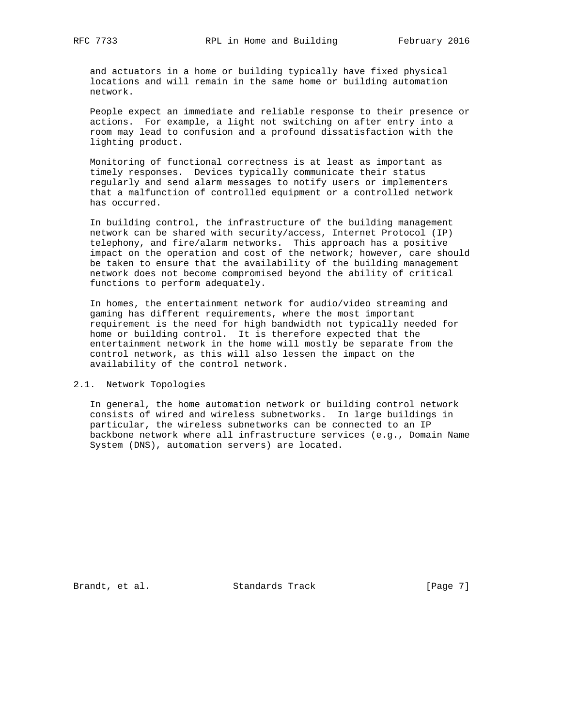and actuators in a home or building typically have fixed physical locations and will remain in the same home or building automation network.

 People expect an immediate and reliable response to their presence or actions. For example, a light not switching on after entry into a room may lead to confusion and a profound dissatisfaction with the lighting product.

 Monitoring of functional correctness is at least as important as timely responses. Devices typically communicate their status regularly and send alarm messages to notify users or implementers that a malfunction of controlled equipment or a controlled network has occurred.

 In building control, the infrastructure of the building management network can be shared with security/access, Internet Protocol (IP) telephony, and fire/alarm networks. This approach has a positive impact on the operation and cost of the network; however, care should be taken to ensure that the availability of the building management network does not become compromised beyond the ability of critical functions to perform adequately.

 In homes, the entertainment network for audio/video streaming and gaming has different requirements, where the most important requirement is the need for high bandwidth not typically needed for home or building control. It is therefore expected that the entertainment network in the home will mostly be separate from the control network, as this will also lessen the impact on the availability of the control network.

2.1. Network Topologies

 In general, the home automation network or building control network consists of wired and wireless subnetworks. In large buildings in particular, the wireless subnetworks can be connected to an IP backbone network where all infrastructure services (e.g., Domain Name System (DNS), automation servers) are located.

Brandt, et al. Standards Track [Page 7]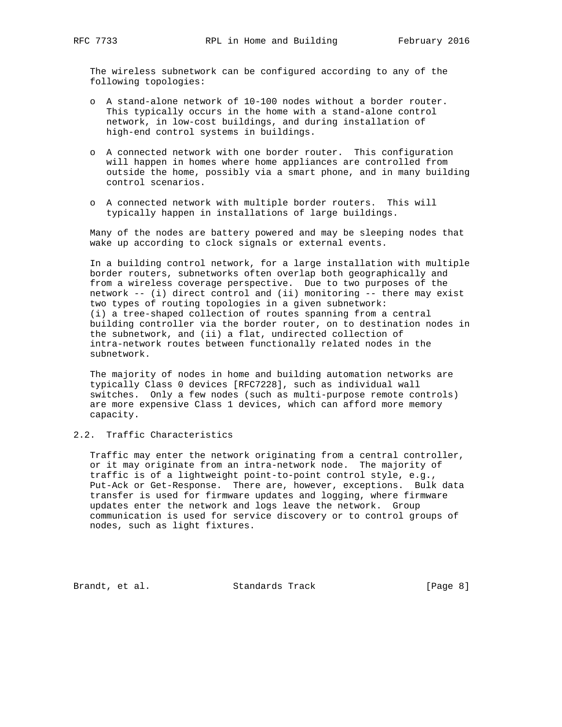The wireless subnetwork can be configured according to any of the following topologies:

- o A stand-alone network of 10-100 nodes without a border router. This typically occurs in the home with a stand-alone control network, in low-cost buildings, and during installation of high-end control systems in buildings.
- o A connected network with one border router. This configuration will happen in homes where home appliances are controlled from outside the home, possibly via a smart phone, and in many building control scenarios.
- o A connected network with multiple border routers. This will typically happen in installations of large buildings.

 Many of the nodes are battery powered and may be sleeping nodes that wake up according to clock signals or external events.

 In a building control network, for a large installation with multiple border routers, subnetworks often overlap both geographically and from a wireless coverage perspective. Due to two purposes of the network -- (i) direct control and (ii) monitoring -- there may exist two types of routing topologies in a given subnetwork: (i) a tree-shaped collection of routes spanning from a central building controller via the border router, on to destination nodes in the subnetwork, and (ii) a flat, undirected collection of intra-network routes between functionally related nodes in the subnetwork.

 The majority of nodes in home and building automation networks are typically Class 0 devices [RFC7228], such as individual wall switches. Only a few nodes (such as multi-purpose remote controls) are more expensive Class 1 devices, which can afford more memory capacity.

## 2.2. Traffic Characteristics

 Traffic may enter the network originating from a central controller, or it may originate from an intra-network node. The majority of traffic is of a lightweight point-to-point control style, e.g., Put-Ack or Get-Response. There are, however, exceptions. Bulk data transfer is used for firmware updates and logging, where firmware updates enter the network and logs leave the network. Group communication is used for service discovery or to control groups of nodes, such as light fixtures.

Brandt, et al. Standards Track [Page 8]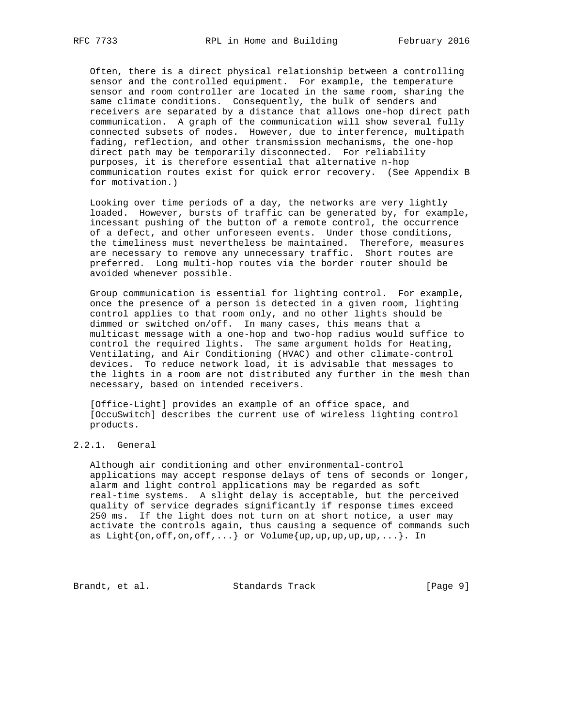Often, there is a direct physical relationship between a controlling sensor and the controlled equipment. For example, the temperature sensor and room controller are located in the same room, sharing the same climate conditions. Consequently, the bulk of senders and receivers are separated by a distance that allows one-hop direct path communication. A graph of the communication will show several fully connected subsets of nodes. However, due to interference, multipath fading, reflection, and other transmission mechanisms, the one-hop direct path may be temporarily disconnected. For reliability purposes, it is therefore essential that alternative n-hop communication routes exist for quick error recovery. (See Appendix B for motivation.)

 Looking over time periods of a day, the networks are very lightly loaded. However, bursts of traffic can be generated by, for example, incessant pushing of the button of a remote control, the occurrence of a defect, and other unforeseen events. Under those conditions, the timeliness must nevertheless be maintained. Therefore, measures are necessary to remove any unnecessary traffic. Short routes are preferred. Long multi-hop routes via the border router should be avoided whenever possible.

 Group communication is essential for lighting control. For example, once the presence of a person is detected in a given room, lighting control applies to that room only, and no other lights should be dimmed or switched on/off. In many cases, this means that a multicast message with a one-hop and two-hop radius would suffice to control the required lights. The same argument holds for Heating, Ventilating, and Air Conditioning (HVAC) and other climate-control devices. To reduce network load, it is advisable that messages to the lights in a room are not distributed any further in the mesh than necessary, based on intended receivers.

 [Office-Light] provides an example of an office space, and [OccuSwitch] describes the current use of wireless lighting control products.

# 2.2.1. General

 Although air conditioning and other environmental-control applications may accept response delays of tens of seconds or longer, alarm and light control applications may be regarded as soft real-time systems. A slight delay is acceptable, but the perceived quality of service degrades significantly if response times exceed 250 ms. If the light does not turn on at short notice, a user may activate the controls again, thus causing a sequence of commands such as Light $\{on,off,on,off,...\}$  or Volume $\{up,up,up,up,up,...\}$ . In

Brandt, et al. Standards Track [Page 9]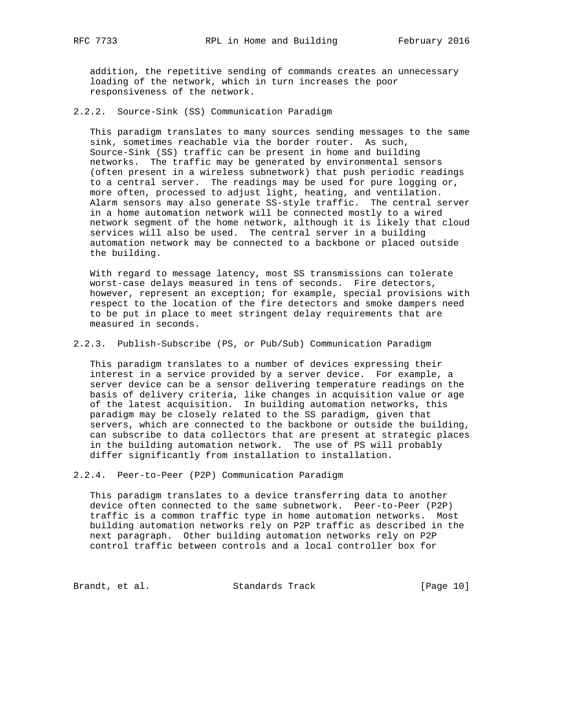addition, the repetitive sending of commands creates an unnecessary loading of the network, which in turn increases the poor responsiveness of the network.

2.2.2. Source-Sink (SS) Communication Paradigm

 This paradigm translates to many sources sending messages to the same sink, sometimes reachable via the border router. As such, Source-Sink (SS) traffic can be present in home and building networks. The traffic may be generated by environmental sensors (often present in a wireless subnetwork) that push periodic readings to a central server. The readings may be used for pure logging or, more often, processed to adjust light, heating, and ventilation. Alarm sensors may also generate SS-style traffic. The central server in a home automation network will be connected mostly to a wired network segment of the home network, although it is likely that cloud services will also be used. The central server in a building automation network may be connected to a backbone or placed outside the building.

 With regard to message latency, most SS transmissions can tolerate worst-case delays measured in tens of seconds. Fire detectors, however, represent an exception; for example, special provisions with respect to the location of the fire detectors and smoke dampers need to be put in place to meet stringent delay requirements that are measured in seconds.

2.2.3. Publish-Subscribe (PS, or Pub/Sub) Communication Paradigm

 This paradigm translates to a number of devices expressing their interest in a service provided by a server device. For example, a server device can be a sensor delivering temperature readings on the basis of delivery criteria, like changes in acquisition value or age of the latest acquisition. In building automation networks, this paradigm may be closely related to the SS paradigm, given that servers, which are connected to the backbone or outside the building, can subscribe to data collectors that are present at strategic places in the building automation network. The use of PS will probably differ significantly from installation to installation.

2.2.4. Peer-to-Peer (P2P) Communication Paradigm

 This paradigm translates to a device transferring data to another device often connected to the same subnetwork. Peer-to-Peer (P2P) traffic is a common traffic type in home automation networks. Most building automation networks rely on P2P traffic as described in the next paragraph. Other building automation networks rely on P2P control traffic between controls and a local controller box for

Brandt, et al. Standards Track [Page 10]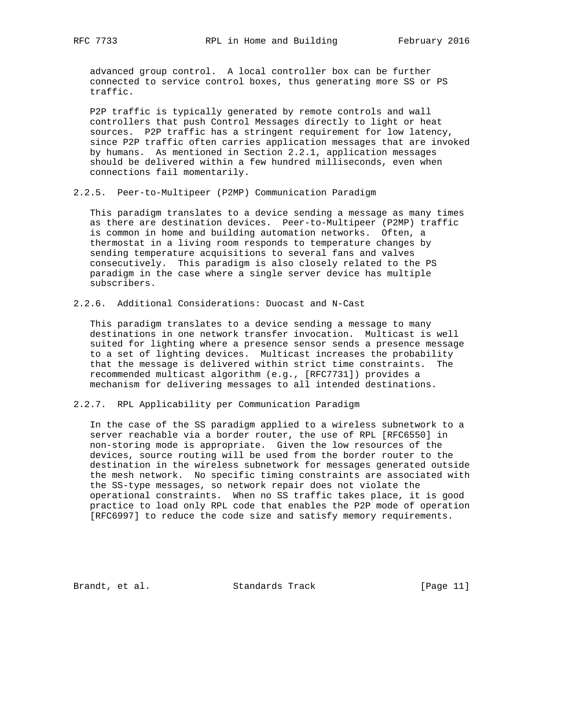advanced group control. A local controller box can be further connected to service control boxes, thus generating more SS or PS traffic.

 P2P traffic is typically generated by remote controls and wall controllers that push Control Messages directly to light or heat sources. P2P traffic has a stringent requirement for low latency, since P2P traffic often carries application messages that are invoked by humans. As mentioned in Section 2.2.1, application messages should be delivered within a few hundred milliseconds, even when connections fail momentarily.

2.2.5. Peer-to-Multipeer (P2MP) Communication Paradigm

 This paradigm translates to a device sending a message as many times as there are destination devices. Peer-to-Multipeer (P2MP) traffic is common in home and building automation networks. Often, a thermostat in a living room responds to temperature changes by sending temperature acquisitions to several fans and valves consecutively. This paradigm is also closely related to the PS paradigm in the case where a single server device has multiple subscribers.

2.2.6. Additional Considerations: Duocast and N-Cast

 This paradigm translates to a device sending a message to many destinations in one network transfer invocation. Multicast is well suited for lighting where a presence sensor sends a presence message to a set of lighting devices. Multicast increases the probability that the message is delivered within strict time constraints. The recommended multicast algorithm (e.g., [RFC7731]) provides a mechanism for delivering messages to all intended destinations.

2.2.7. RPL Applicability per Communication Paradigm

 In the case of the SS paradigm applied to a wireless subnetwork to a server reachable via a border router, the use of RPL [RFC6550] in non-storing mode is appropriate. Given the low resources of the devices, source routing will be used from the border router to the destination in the wireless subnetwork for messages generated outside the mesh network. No specific timing constraints are associated with the SS-type messages, so network repair does not violate the operational constraints. When no SS traffic takes place, it is good practice to load only RPL code that enables the P2P mode of operation [RFC6997] to reduce the code size and satisfy memory requirements.

Brandt, et al. Standards Track [Page 11]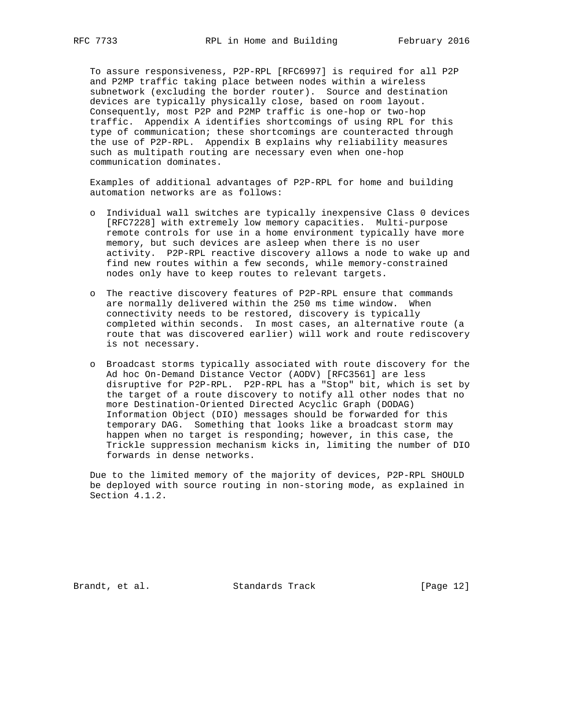To assure responsiveness, P2P-RPL [RFC6997] is required for all P2P and P2MP traffic taking place between nodes within a wireless subnetwork (excluding the border router). Source and destination devices are typically physically close, based on room layout. Consequently, most P2P and P2MP traffic is one-hop or two-hop traffic. Appendix A identifies shortcomings of using RPL for this type of communication; these shortcomings are counteracted through the use of P2P-RPL. Appendix B explains why reliability measures such as multipath routing are necessary even when one-hop communication dominates.

 Examples of additional advantages of P2P-RPL for home and building automation networks are as follows:

- o Individual wall switches are typically inexpensive Class 0 devices [RFC7228] with extremely low memory capacities. Multi-purpose remote controls for use in a home environment typically have more memory, but such devices are asleep when there is no user activity. P2P-RPL reactive discovery allows a node to wake up and find new routes within a few seconds, while memory-constrained nodes only have to keep routes to relevant targets.
- o The reactive discovery features of P2P-RPL ensure that commands are normally delivered within the 250 ms time window. When connectivity needs to be restored, discovery is typically completed within seconds. In most cases, an alternative route (a route that was discovered earlier) will work and route rediscovery is not necessary.
- o Broadcast storms typically associated with route discovery for the Ad hoc On-Demand Distance Vector (AODV) [RFC3561] are less disruptive for P2P-RPL. P2P-RPL has a "Stop" bit, which is set by the target of a route discovery to notify all other nodes that no more Destination-Oriented Directed Acyclic Graph (DODAG) Information Object (DIO) messages should be forwarded for this temporary DAG. Something that looks like a broadcast storm may happen when no target is responding; however, in this case, the Trickle suppression mechanism kicks in, limiting the number of DIO forwards in dense networks.

 Due to the limited memory of the majority of devices, P2P-RPL SHOULD be deployed with source routing in non-storing mode, as explained in Section 4.1.2.

Brandt, et al. Standards Track [Page 12]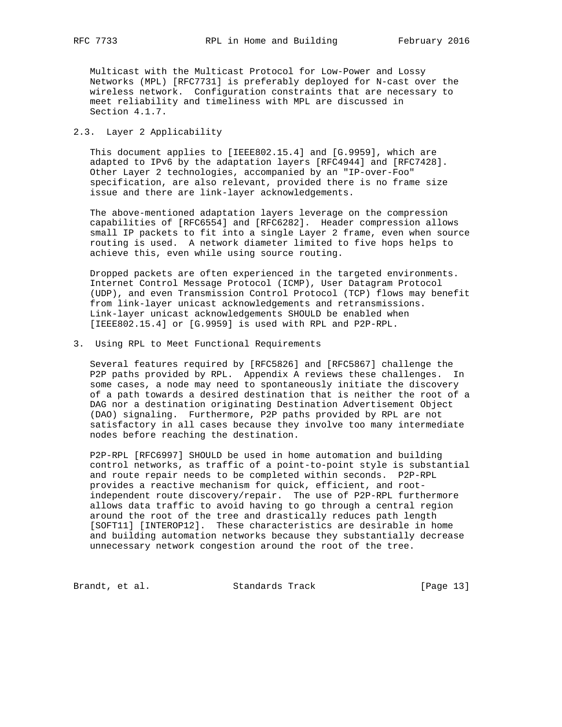Multicast with the Multicast Protocol for Low-Power and Lossy Networks (MPL) [RFC7731] is preferably deployed for N-cast over the wireless network. Configuration constraints that are necessary to meet reliability and timeliness with MPL are discussed in Section 4.1.7.

### 2.3. Layer 2 Applicability

 This document applies to [IEEE802.15.4] and [G.9959], which are adapted to IPv6 by the adaptation layers [RFC4944] and [RFC7428]. Other Layer 2 technologies, accompanied by an "IP-over-Foo" specification, are also relevant, provided there is no frame size issue and there are link-layer acknowledgements.

 The above-mentioned adaptation layers leverage on the compression capabilities of [RFC6554] and [RFC6282]. Header compression allows small IP packets to fit into a single Layer 2 frame, even when source routing is used. A network diameter limited to five hops helps to achieve this, even while using source routing.

 Dropped packets are often experienced in the targeted environments. Internet Control Message Protocol (ICMP), User Datagram Protocol (UDP), and even Transmission Control Protocol (TCP) flows may benefit from link-layer unicast acknowledgements and retransmissions. Link-layer unicast acknowledgements SHOULD be enabled when [IEEE802.15.4] or [G.9959] is used with RPL and P2P-RPL.

3. Using RPL to Meet Functional Requirements

 Several features required by [RFC5826] and [RFC5867] challenge the P2P paths provided by RPL. Appendix A reviews these challenges. In some cases, a node may need to spontaneously initiate the discovery of a path towards a desired destination that is neither the root of a DAG nor a destination originating Destination Advertisement Object (DAO) signaling. Furthermore, P2P paths provided by RPL are not satisfactory in all cases because they involve too many intermediate nodes before reaching the destination.

 P2P-RPL [RFC6997] SHOULD be used in home automation and building control networks, as traffic of a point-to-point style is substantial and route repair needs to be completed within seconds. P2P-RPL provides a reactive mechanism for quick, efficient, and root independent route discovery/repair. The use of P2P-RPL furthermore allows data traffic to avoid having to go through a central region around the root of the tree and drastically reduces path length [SOFT11] [INTEROP12]. These characteristics are desirable in home and building automation networks because they substantially decrease unnecessary network congestion around the root of the tree.

Brandt, et al. Standards Track [Page 13]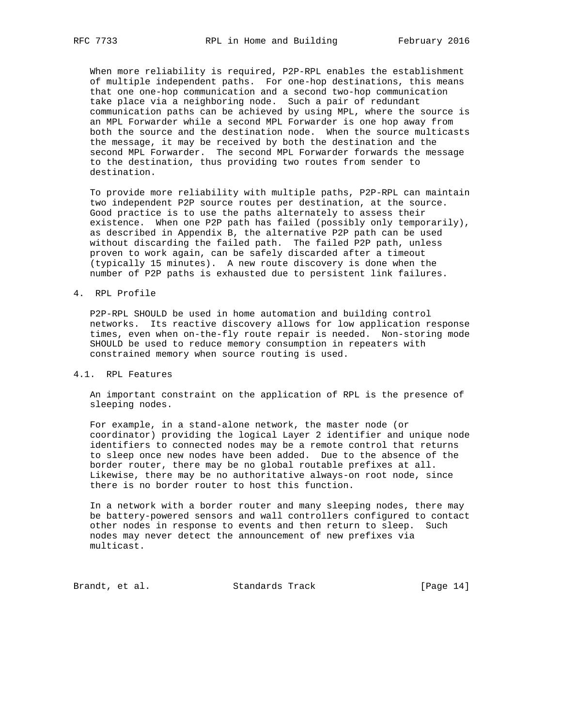When more reliability is required, P2P-RPL enables the establishment of multiple independent paths. For one-hop destinations, this means that one one-hop communication and a second two-hop communication take place via a neighboring node. Such a pair of redundant communication paths can be achieved by using MPL, where the source is an MPL Forwarder while a second MPL Forwarder is one hop away from both the source and the destination node. When the source multicasts the message, it may be received by both the destination and the second MPL Forwarder. The second MPL Forwarder forwards the message to the destination, thus providing two routes from sender to destination.

 To provide more reliability with multiple paths, P2P-RPL can maintain two independent P2P source routes per destination, at the source. Good practice is to use the paths alternately to assess their existence. When one P2P path has failed (possibly only temporarily), as described in Appendix B, the alternative P2P path can be used without discarding the failed path. The failed P2P path, unless proven to work again, can be safely discarded after a timeout (typically 15 minutes). A new route discovery is done when the number of P2P paths is exhausted due to persistent link failures.

#### 4. RPL Profile

 P2P-RPL SHOULD be used in home automation and building control networks. Its reactive discovery allows for low application response times, even when on-the-fly route repair is needed. Non-storing mode SHOULD be used to reduce memory consumption in repeaters with constrained memory when source routing is used.

## 4.1. RPL Features

 An important constraint on the application of RPL is the presence of sleeping nodes.

 For example, in a stand-alone network, the master node (or coordinator) providing the logical Layer 2 identifier and unique node identifiers to connected nodes may be a remote control that returns to sleep once new nodes have been added. Due to the absence of the border router, there may be no global routable prefixes at all. Likewise, there may be no authoritative always-on root node, since there is no border router to host this function.

 In a network with a border router and many sleeping nodes, there may be battery-powered sensors and wall controllers configured to contact other nodes in response to events and then return to sleep. Such nodes may never detect the announcement of new prefixes via multicast.

Brandt, et al. Standards Track [Page 14]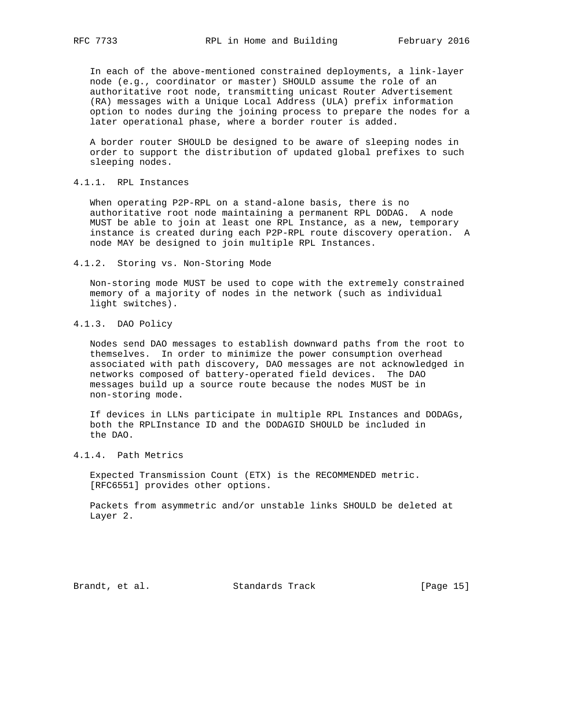In each of the above-mentioned constrained deployments, a link-layer node (e.g., coordinator or master) SHOULD assume the role of an authoritative root node, transmitting unicast Router Advertisement (RA) messages with a Unique Local Address (ULA) prefix information option to nodes during the joining process to prepare the nodes for a later operational phase, where a border router is added.

 A border router SHOULD be designed to be aware of sleeping nodes in order to support the distribution of updated global prefixes to such sleeping nodes.

### 4.1.1. RPL Instances

 When operating P2P-RPL on a stand-alone basis, there is no authoritative root node maintaining a permanent RPL DODAG. A node MUST be able to join at least one RPL Instance, as a new, temporary instance is created during each P2P-RPL route discovery operation. A node MAY be designed to join multiple RPL Instances.

4.1.2. Storing vs. Non-Storing Mode

 Non-storing mode MUST be used to cope with the extremely constrained memory of a majority of nodes in the network (such as individual light switches).

## 4.1.3. DAO Policy

 Nodes send DAO messages to establish downward paths from the root to themselves. In order to minimize the power consumption overhead associated with path discovery, DAO messages are not acknowledged in networks composed of battery-operated field devices. The DAO messages build up a source route because the nodes MUST be in non-storing mode.

 If devices in LLNs participate in multiple RPL Instances and DODAGs, both the RPLInstance ID and the DODAGID SHOULD be included in the DAO.

4.1.4. Path Metrics

 Expected Transmission Count (ETX) is the RECOMMENDED metric. [RFC6551] provides other options.

 Packets from asymmetric and/or unstable links SHOULD be deleted at Layer 2.

Brandt, et al. Standards Track [Page 15]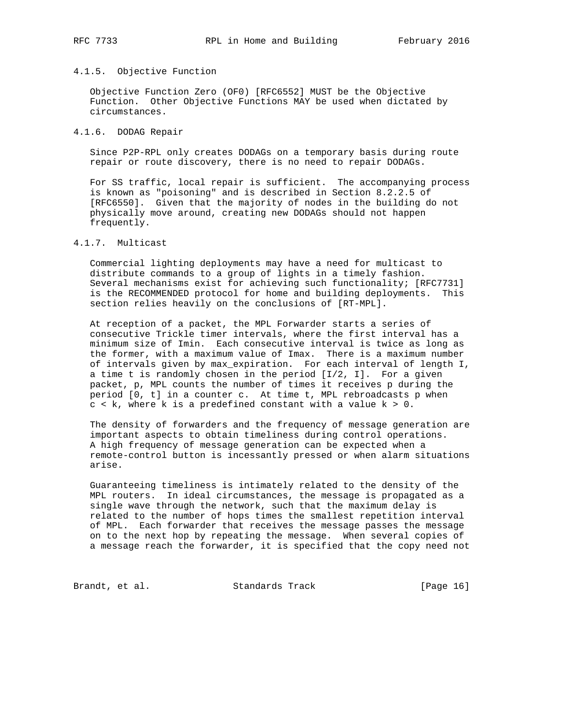#### 4.1.5. Objective Function

 Objective Function Zero (OF0) [RFC6552] MUST be the Objective Function. Other Objective Functions MAY be used when dictated by circumstances.

### 4.1.6. DODAG Repair

 Since P2P-RPL only creates DODAGs on a temporary basis during route repair or route discovery, there is no need to repair DODAGs.

 For SS traffic, local repair is sufficient. The accompanying process is known as "poisoning" and is described in Section 8.2.2.5 of [RFC6550]. Given that the majority of nodes in the building do not physically move around, creating new DODAGs should not happen frequently.

## 4.1.7. Multicast

 Commercial lighting deployments may have a need for multicast to distribute commands to a group of lights in a timely fashion. Several mechanisms exist for achieving such functionality; [RFC7731] is the RECOMMENDED protocol for home and building deployments. This section relies heavily on the conclusions of [RT-MPL].

 At reception of a packet, the MPL Forwarder starts a series of consecutive Trickle timer intervals, where the first interval has a minimum size of Imin. Each consecutive interval is twice as long as the former, with a maximum value of Imax. There is a maximum number of intervals given by max\_expiration. For each interval of length I, a time t is randomly chosen in the period [I/2, I]. For a given packet, p, MPL counts the number of times it receives p during the period [0, t] in a counter c. At time t, MPL rebroadcasts p when  $c < k$ , where k is a predefined constant with a value  $k > 0$ .

 The density of forwarders and the frequency of message generation are important aspects to obtain timeliness during control operations. A high frequency of message generation can be expected when a remote-control button is incessantly pressed or when alarm situations arise.

 Guaranteeing timeliness is intimately related to the density of the MPL routers. In ideal circumstances, the message is propagated as a single wave through the network, such that the maximum delay is related to the number of hops times the smallest repetition interval of MPL. Each forwarder that receives the message passes the message on to the next hop by repeating the message. When several copies of a message reach the forwarder, it is specified that the copy need not

Brandt, et al. Standards Track [Page 16]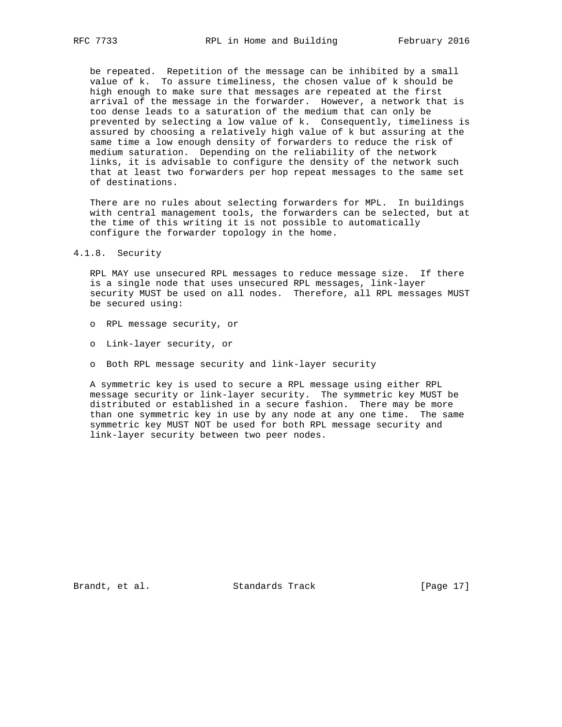be repeated. Repetition of the message can be inhibited by a small value of k. To assure timeliness, the chosen value of k should be high enough to make sure that messages are repeated at the first arrival of the message in the forwarder. However, a network that is too dense leads to a saturation of the medium that can only be prevented by selecting a low value of k. Consequently, timeliness is assured by choosing a relatively high value of k but assuring at the same time a low enough density of forwarders to reduce the risk of medium saturation. Depending on the reliability of the network links, it is advisable to configure the density of the network such that at least two forwarders per hop repeat messages to the same set of destinations.

 There are no rules about selecting forwarders for MPL. In buildings with central management tools, the forwarders can be selected, but at the time of this writing it is not possible to automatically configure the forwarder topology in the home.

### 4.1.8. Security

 RPL MAY use unsecured RPL messages to reduce message size. If there is a single node that uses unsecured RPL messages, link-layer security MUST be used on all nodes. Therefore, all RPL messages MUST be secured using:

- o RPL message security, or
- o Link-layer security, or
- o Both RPL message security and link-layer security

 A symmetric key is used to secure a RPL message using either RPL message security or link-layer security. The symmetric key MUST be distributed or established in a secure fashion. There may be more than one symmetric key in use by any node at any one time. The same symmetric key MUST NOT be used for both RPL message security and link-layer security between two peer nodes.

Brandt, et al. Standards Track [Page 17]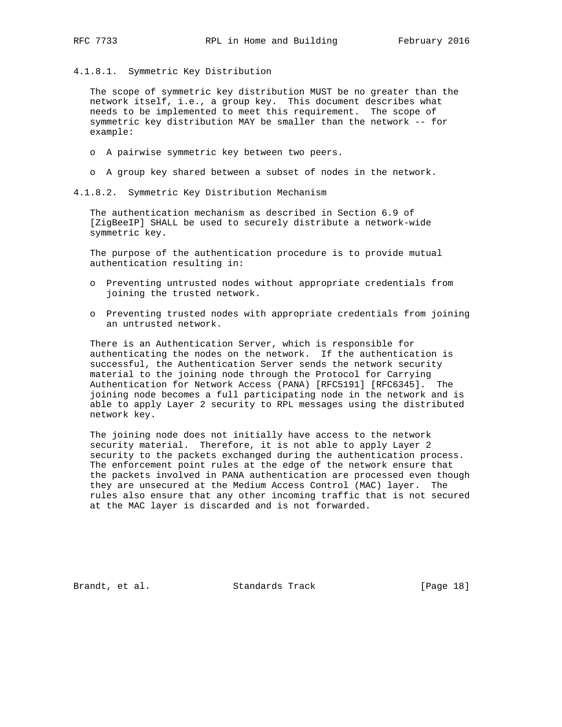4.1.8.1. Symmetric Key Distribution

 The scope of symmetric key distribution MUST be no greater than the network itself, i.e., a group key. This document describes what needs to be implemented to meet this requirement. The scope of symmetric key distribution MAY be smaller than the network -- for example:

- o A pairwise symmetric key between two peers.
- o A group key shared between a subset of nodes in the network.

4.1.8.2. Symmetric Key Distribution Mechanism

 The authentication mechanism as described in Section 6.9 of [ZigBeeIP] SHALL be used to securely distribute a network-wide symmetric key.

 The purpose of the authentication procedure is to provide mutual authentication resulting in:

- o Preventing untrusted nodes without appropriate credentials from joining the trusted network.
- o Preventing trusted nodes with appropriate credentials from joining an untrusted network.

 There is an Authentication Server, which is responsible for authenticating the nodes on the network. If the authentication is successful, the Authentication Server sends the network security material to the joining node through the Protocol for Carrying Authentication for Network Access (PANA) [RFC5191] [RFC6345]. The joining node becomes a full participating node in the network and is able to apply Layer 2 security to RPL messages using the distributed network key.

 The joining node does not initially have access to the network security material. Therefore, it is not able to apply Layer 2 security to the packets exchanged during the authentication process. The enforcement point rules at the edge of the network ensure that the packets involved in PANA authentication are processed even though they are unsecured at the Medium Access Control (MAC) layer. The rules also ensure that any other incoming traffic that is not secured at the MAC layer is discarded and is not forwarded.

Brandt, et al. Standards Track [Page 18]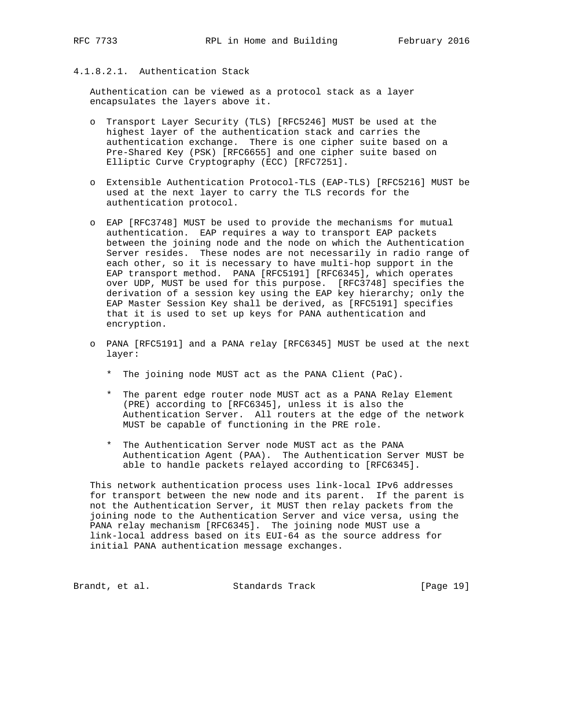## 4.1.8.2.1. Authentication Stack

 Authentication can be viewed as a protocol stack as a layer encapsulates the layers above it.

- o Transport Layer Security (TLS) [RFC5246] MUST be used at the highest layer of the authentication stack and carries the authentication exchange. There is one cipher suite based on a Pre-Shared Key (PSK) [RFC6655] and one cipher suite based on Elliptic Curve Cryptography (ECC) [RFC7251].
- o Extensible Authentication Protocol-TLS (EAP-TLS) [RFC5216] MUST be used at the next layer to carry the TLS records for the authentication protocol.
- o EAP [RFC3748] MUST be used to provide the mechanisms for mutual authentication. EAP requires a way to transport EAP packets between the joining node and the node on which the Authentication Server resides. These nodes are not necessarily in radio range of each other, so it is necessary to have multi-hop support in the EAP transport method. PANA [RFC5191] [RFC6345], which operates over UDP, MUST be used for this purpose. [RFC3748] specifies the derivation of a session key using the EAP key hierarchy; only the EAP Master Session Key shall be derived, as [RFC5191] specifies that it is used to set up keys for PANA authentication and encryption.
- o PANA [RFC5191] and a PANA relay [RFC6345] MUST be used at the next layer:
	- \* The joining node MUST act as the PANA Client (PaC).
	- \* The parent edge router node MUST act as a PANA Relay Element (PRE) according to [RFC6345], unless it is also the Authentication Server. All routers at the edge of the network MUST be capable of functioning in the PRE role.
	- \* The Authentication Server node MUST act as the PANA Authentication Agent (PAA). The Authentication Server MUST be able to handle packets relayed according to [RFC6345].

 This network authentication process uses link-local IPv6 addresses for transport between the new node and its parent. If the parent is not the Authentication Server, it MUST then relay packets from the joining node to the Authentication Server and vice versa, using the PANA relay mechanism [RFC6345]. The joining node MUST use a link-local address based on its EUI-64 as the source address for initial PANA authentication message exchanges.

Brandt, et al. Standards Track [Page 19]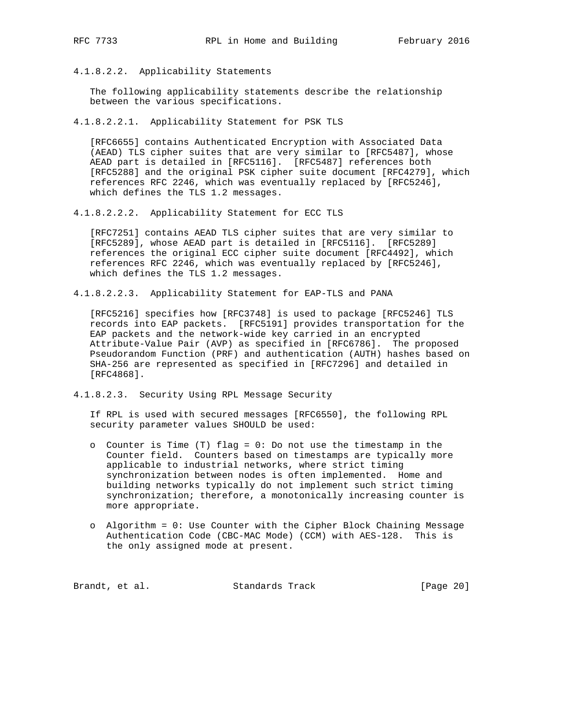4.1.8.2.2. Applicability Statements

 The following applicability statements describe the relationship between the various specifications.

4.1.8.2.2.1. Applicability Statement for PSK TLS

 [RFC6655] contains Authenticated Encryption with Associated Data (AEAD) TLS cipher suites that are very similar to [RFC5487], whose AEAD part is detailed in [RFC5116]. [RFC5487] references both [RFC5288] and the original PSK cipher suite document [RFC4279], which references RFC 2246, which was eventually replaced by [RFC5246], which defines the TLS 1.2 messages.

4.1.8.2.2.2. Applicability Statement for ECC TLS

 [RFC7251] contains AEAD TLS cipher suites that are very similar to [RFC5289], whose AEAD part is detailed in [RFC5116]. [RFC5289] references the original ECC cipher suite document [RFC4492], which references RFC 2246, which was eventually replaced by [RFC5246], which defines the TLS 1.2 messages.

4.1.8.2.2.3. Applicability Statement for EAP-TLS and PANA

 [RFC5216] specifies how [RFC3748] is used to package [RFC5246] TLS records into EAP packets. [RFC5191] provides transportation for the EAP packets and the network-wide key carried in an encrypted Attribute-Value Pair (AVP) as specified in [RFC6786]. The proposed Pseudorandom Function (PRF) and authentication (AUTH) hashes based on SHA-256 are represented as specified in [RFC7296] and detailed in [RFC4868].

4.1.8.2.3. Security Using RPL Message Security

 If RPL is used with secured messages [RFC6550], the following RPL security parameter values SHOULD be used:

- o Counter is Time (T) flag = 0: Do not use the timestamp in the Counter field. Counters based on timestamps are typically more applicable to industrial networks, where strict timing synchronization between nodes is often implemented. Home and building networks typically do not implement such strict timing synchronization; therefore, a monotonically increasing counter is more appropriate.
- o Algorithm = 0: Use Counter with the Cipher Block Chaining Message Authentication Code (CBC-MAC Mode) (CCM) with AES-128. This is the only assigned mode at present.

Brandt, et al. Standards Track [Page 20]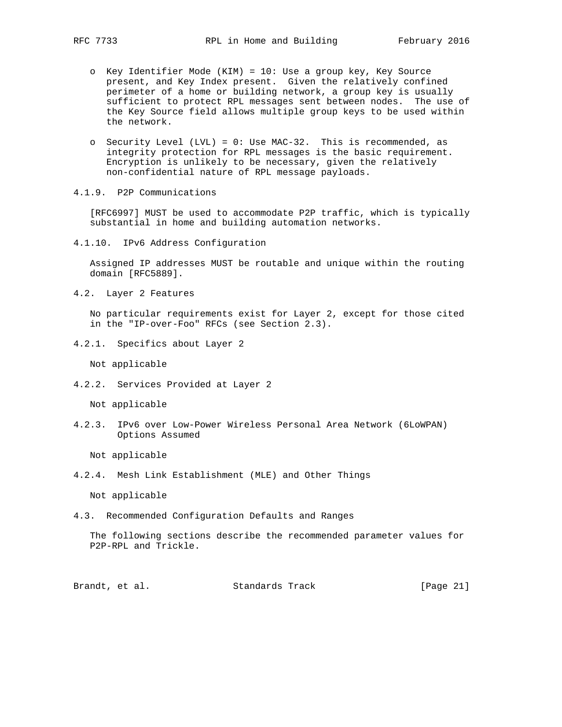- o Key Identifier Mode (KIM) = 10: Use a group key, Key Source present, and Key Index present. Given the relatively confined perimeter of a home or building network, a group key is usually sufficient to protect RPL messages sent between nodes. The use of the Key Source field allows multiple group keys to be used within the network.
	- o Security Level (LVL) = 0: Use MAC-32. This is recommended, as integrity protection for RPL messages is the basic requirement. Encryption is unlikely to be necessary, given the relatively non-confidential nature of RPL message payloads.
- 4.1.9. P2P Communications

 [RFC6997] MUST be used to accommodate P2P traffic, which is typically substantial in home and building automation networks.

4.1.10. IPv6 Address Configuration

 Assigned IP addresses MUST be routable and unique within the routing domain [RFC5889].

4.2. Layer 2 Features

 No particular requirements exist for Layer 2, except for those cited in the "IP-over-Foo" RFCs (see Section 2.3).

4.2.1. Specifics about Layer 2

Not applicable

4.2.2. Services Provided at Layer 2

Not applicable

4.2.3. IPv6 over Low-Power Wireless Personal Area Network (6LoWPAN) Options Assumed

Not applicable

4.2.4. Mesh Link Establishment (MLE) and Other Things

Not applicable

4.3. Recommended Configuration Defaults and Ranges

 The following sections describe the recommended parameter values for P2P-RPL and Trickle.

Brandt, et al. Standards Track [Page 21]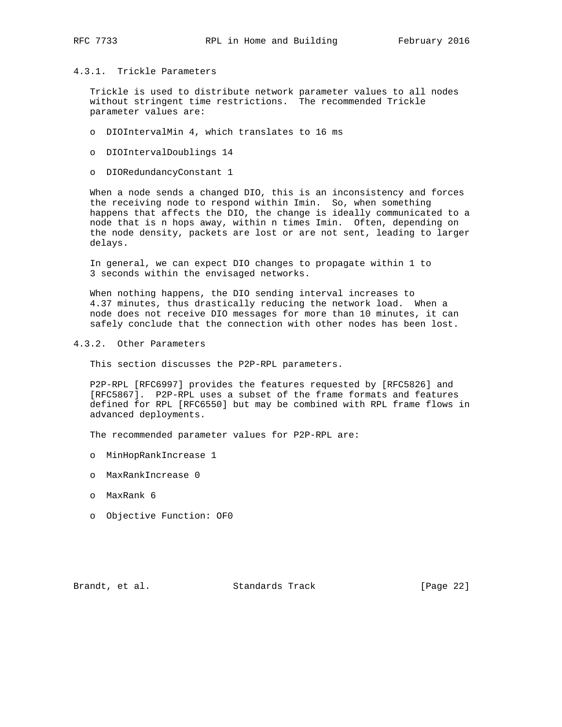#### 4.3.1. Trickle Parameters

 Trickle is used to distribute network parameter values to all nodes without stringent time restrictions. The recommended Trickle parameter values are:

- o DIOIntervalMin 4, which translates to 16 ms
- o DIOIntervalDoublings 14
- o DIORedundancyConstant 1

 When a node sends a changed DIO, this is an inconsistency and forces the receiving node to respond within Imin. So, when something happens that affects the DIO, the change is ideally communicated to a node that is n hops away, within n times Imin. Often, depending on the node density, packets are lost or are not sent, leading to larger delays.

 In general, we can expect DIO changes to propagate within 1 to 3 seconds within the envisaged networks.

 When nothing happens, the DIO sending interval increases to 4.37 minutes, thus drastically reducing the network load. When a node does not receive DIO messages for more than 10 minutes, it can safely conclude that the connection with other nodes has been lost.

4.3.2. Other Parameters

This section discusses the P2P-RPL parameters.

 P2P-RPL [RFC6997] provides the features requested by [RFC5826] and [RFC5867]. P2P-RPL uses a subset of the frame formats and features defined for RPL [RFC6550] but may be combined with RPL frame flows in advanced deployments.

The recommended parameter values for P2P-RPL are:

- o MinHopRankIncrease 1
- o MaxRankIncrease 0
- o MaxRank 6
- o Objective Function: OF0

Brandt, et al. Standards Track [Page 22]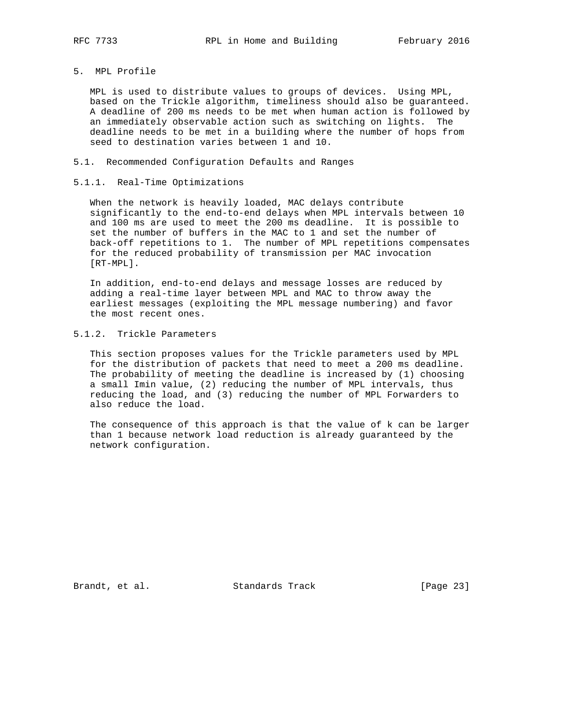### 5. MPL Profile

 MPL is used to distribute values to groups of devices. Using MPL, based on the Trickle algorithm, timeliness should also be guaranteed. A deadline of 200 ms needs to be met when human action is followed by an immediately observable action such as switching on lights. The deadline needs to be met in a building where the number of hops from seed to destination varies between 1 and 10.

### 5.1. Recommended Configuration Defaults and Ranges

### 5.1.1. Real-Time Optimizations

 When the network is heavily loaded, MAC delays contribute significantly to the end-to-end delays when MPL intervals between 10 and 100 ms are used to meet the 200 ms deadline. It is possible to set the number of buffers in the MAC to 1 and set the number of back-off repetitions to 1. The number of MPL repetitions compensates for the reduced probability of transmission per MAC invocation [RT-MPL].

 In addition, end-to-end delays and message losses are reduced by adding a real-time layer between MPL and MAC to throw away the earliest messages (exploiting the MPL message numbering) and favor the most recent ones.

# 5.1.2. Trickle Parameters

 This section proposes values for the Trickle parameters used by MPL for the distribution of packets that need to meet a 200 ms deadline. The probability of meeting the deadline is increased by (1) choosing a small Imin value, (2) reducing the number of MPL intervals, thus reducing the load, and (3) reducing the number of MPL Forwarders to also reduce the load.

 The consequence of this approach is that the value of k can be larger than 1 because network load reduction is already guaranteed by the network configuration.

Brandt, et al. Standards Track [Page 23]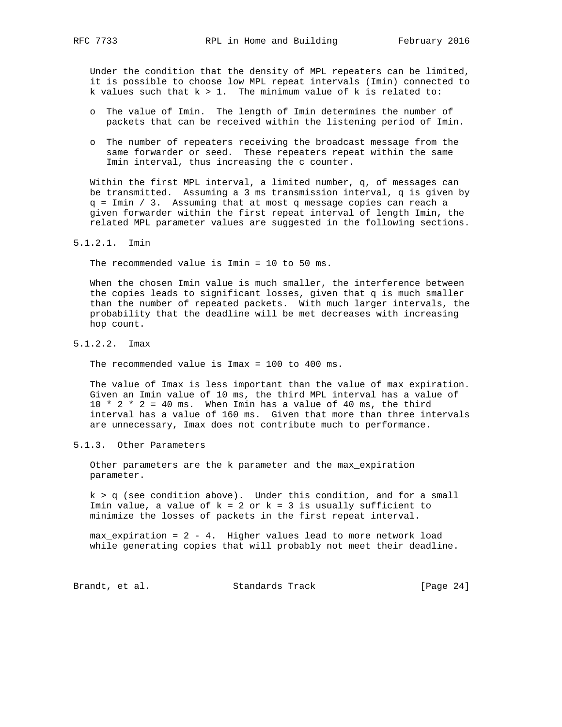Under the condition that the density of MPL repeaters can be limited, it is possible to choose low MPL repeat intervals (Imin) connected to k values such that  $k > 1$ . The minimum value of k is related to:

- o The value of Imin. The length of Imin determines the number of packets that can be received within the listening period of Imin.
- o The number of repeaters receiving the broadcast message from the same forwarder or seed. These repeaters repeat within the same Imin interval, thus increasing the c counter.

 Within the first MPL interval, a limited number, q, of messages can be transmitted. Assuming a 3 ms transmission interval, q is given by q = Imin / 3. Assuming that at most q message copies can reach a given forwarder within the first repeat interval of length Imin, the related MPL parameter values are suggested in the following sections.

### 5.1.2.1. Imin

The recommended value is Imin = 10 to 50 ms.

 When the chosen Imin value is much smaller, the interference between the copies leads to significant losses, given that q is much smaller than the number of repeated packets. With much larger intervals, the probability that the deadline will be met decreases with increasing hop count.

#### 5.1.2.2. Imax

The recommended value is Imax = 100 to 400 ms.

 The value of Imax is less important than the value of max\_expiration. Given an Imin value of 10 ms, the third MPL interval has a value of  $10 * 2 * 2 = 40$  ms. When Imin has a value of 40 ms, the third interval has a value of 160 ms. Given that more than three intervals are unnecessary, Imax does not contribute much to performance.

### 5.1.3. Other Parameters

 Other parameters are the k parameter and the max\_expiration parameter.

 $k > q$  (see condition above). Under this condition, and for a small Imin value, a value of  $k = 2$  or  $k = 3$  is usually sufficient to minimize the losses of packets in the first repeat interval.

 max\_expiration = 2 - 4. Higher values lead to more network load while generating copies that will probably not meet their deadline.

Brandt, et al. Standards Track [Page 24]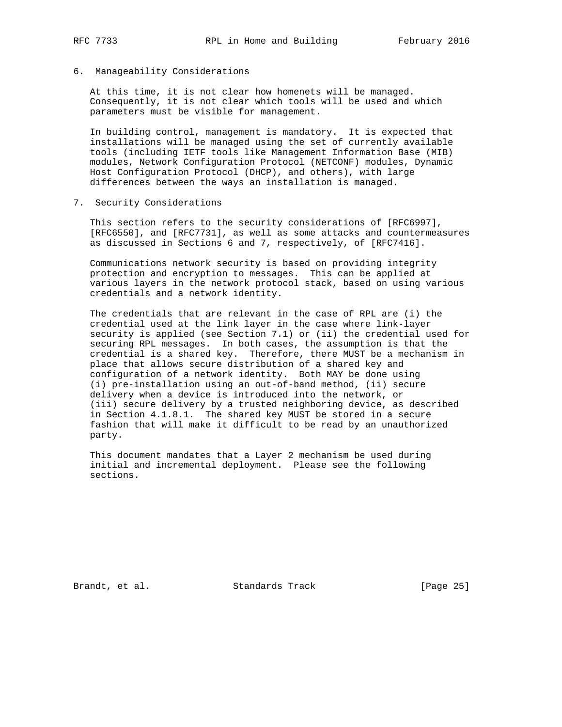- 
- 6. Manageability Considerations

 At this time, it is not clear how homenets will be managed. Consequently, it is not clear which tools will be used and which parameters must be visible for management.

 In building control, management is mandatory. It is expected that installations will be managed using the set of currently available tools (including IETF tools like Management Information Base (MIB) modules, Network Configuration Protocol (NETCONF) modules, Dynamic Host Configuration Protocol (DHCP), and others), with large differences between the ways an installation is managed.

7. Security Considerations

 This section refers to the security considerations of [RFC6997], [RFC6550], and [RFC7731], as well as some attacks and countermeasures as discussed in Sections 6 and 7, respectively, of [RFC7416].

 Communications network security is based on providing integrity protection and encryption to messages. This can be applied at various layers in the network protocol stack, based on using various credentials and a network identity.

 The credentials that are relevant in the case of RPL are (i) the credential used at the link layer in the case where link-layer security is applied (see Section 7.1) or (ii) the credential used for securing RPL messages. In both cases, the assumption is that the credential is a shared key. Therefore, there MUST be a mechanism in place that allows secure distribution of a shared key and configuration of a network identity. Both MAY be done using (i) pre-installation using an out-of-band method, (ii) secure delivery when a device is introduced into the network, or (iii) secure delivery by a trusted neighboring device, as described in Section 4.1.8.1. The shared key MUST be stored in a secure fashion that will make it difficult to be read by an unauthorized party.

 This document mandates that a Layer 2 mechanism be used during initial and incremental deployment. Please see the following sections.

Brandt, et al. Standards Track [Page 25]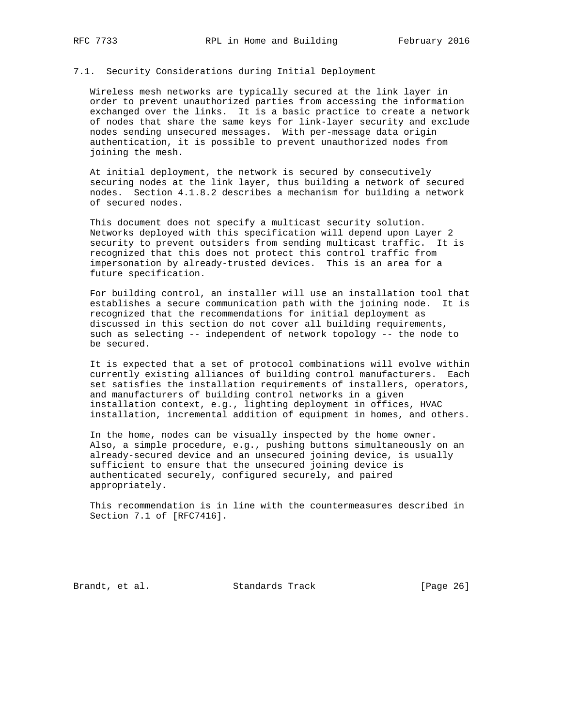#### 7.1. Security Considerations during Initial Deployment

 Wireless mesh networks are typically secured at the link layer in order to prevent unauthorized parties from accessing the information exchanged over the links. It is a basic practice to create a network of nodes that share the same keys for link-layer security and exclude nodes sending unsecured messages. With per-message data origin authentication, it is possible to prevent unauthorized nodes from joining the mesh.

 At initial deployment, the network is secured by consecutively securing nodes at the link layer, thus building a network of secured nodes. Section 4.1.8.2 describes a mechanism for building a network of secured nodes.

 This document does not specify a multicast security solution. Networks deployed with this specification will depend upon Layer 2 security to prevent outsiders from sending multicast traffic. It is recognized that this does not protect this control traffic from impersonation by already-trusted devices. This is an area for a future specification.

 For building control, an installer will use an installation tool that establishes a secure communication path with the joining node. It is recognized that the recommendations for initial deployment as discussed in this section do not cover all building requirements, such as selecting -- independent of network topology -- the node to be secured.

 It is expected that a set of protocol combinations will evolve within currently existing alliances of building control manufacturers. Each set satisfies the installation requirements of installers, operators, and manufacturers of building control networks in a given installation context, e.g., lighting deployment in offices, HVAC installation, incremental addition of equipment in homes, and others.

 In the home, nodes can be visually inspected by the home owner. Also, a simple procedure, e.g., pushing buttons simultaneously on an already-secured device and an unsecured joining device, is usually sufficient to ensure that the unsecured joining device is authenticated securely, configured securely, and paired appropriately.

 This recommendation is in line with the countermeasures described in Section 7.1 of [RFC7416].

Brandt, et al. Standards Track [Page 26]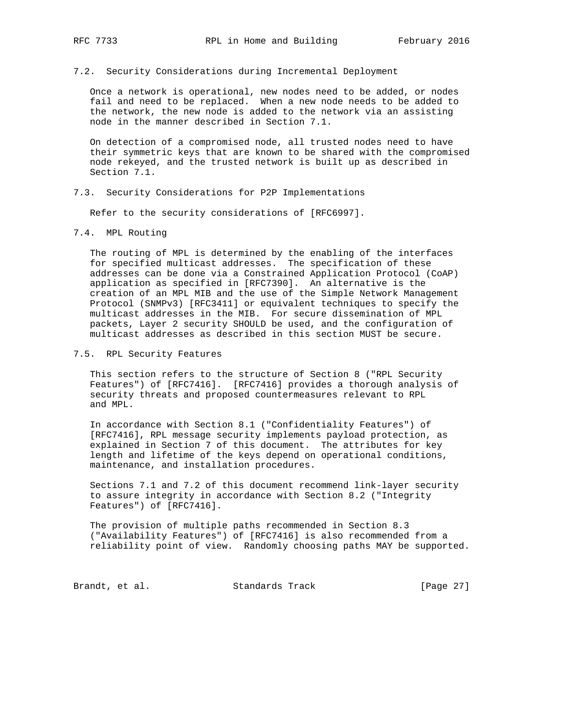#### 7.2. Security Considerations during Incremental Deployment

 Once a network is operational, new nodes need to be added, or nodes fail and need to be replaced. When a new node needs to be added to the network, the new node is added to the network via an assisting node in the manner described in Section 7.1.

 On detection of a compromised node, all trusted nodes need to have their symmetric keys that are known to be shared with the compromised node rekeyed, and the trusted network is built up as described in Section 7.1.

7.3. Security Considerations for P2P Implementations

Refer to the security considerations of [RFC6997].

7.4. MPL Routing

 The routing of MPL is determined by the enabling of the interfaces for specified multicast addresses. The specification of these addresses can be done via a Constrained Application Protocol (CoAP) application as specified in [RFC7390]. An alternative is the creation of an MPL MIB and the use of the Simple Network Management Protocol (SNMPv3) [RFC3411] or equivalent techniques to specify the multicast addresses in the MIB. For secure dissemination of MPL packets, Layer 2 security SHOULD be used, and the configuration of multicast addresses as described in this section MUST be secure.

7.5. RPL Security Features

 This section refers to the structure of Section 8 ("RPL Security Features") of [RFC7416]. [RFC7416] provides a thorough analysis of security threats and proposed countermeasures relevant to RPL and MPL.

 In accordance with Section 8.1 ("Confidentiality Features") of [RFC7416], RPL message security implements payload protection, as explained in Section 7 of this document. The attributes for key length and lifetime of the keys depend on operational conditions, maintenance, and installation procedures.

 Sections 7.1 and 7.2 of this document recommend link-layer security to assure integrity in accordance with Section 8.2 ("Integrity Features") of [RFC7416].

 The provision of multiple paths recommended in Section 8.3 ("Availability Features") of [RFC7416] is also recommended from a reliability point of view. Randomly choosing paths MAY be supported.

Brandt, et al. Standards Track [Page 27]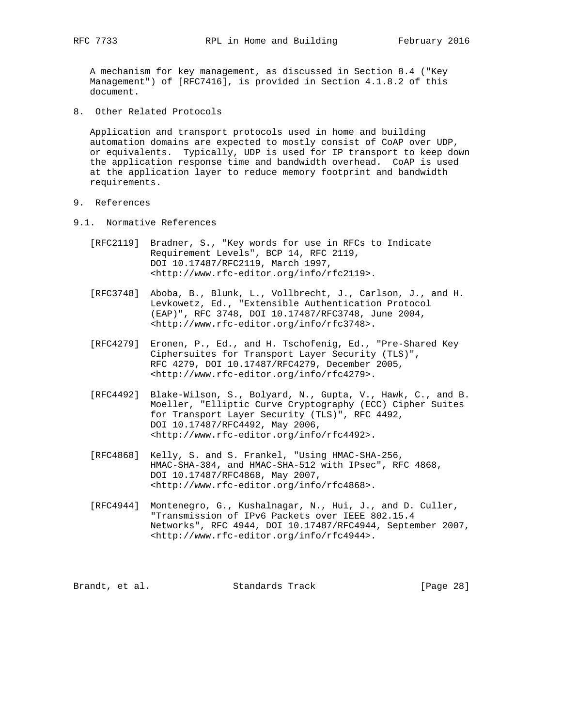A mechanism for key management, as discussed in Section 8.4 ("Key Management") of [RFC7416], is provided in Section 4.1.8.2 of this document.

8. Other Related Protocols

 Application and transport protocols used in home and building automation domains are expected to mostly consist of CoAP over UDP, or equivalents. Typically, UDP is used for IP transport to keep down the application response time and bandwidth overhead. CoAP is used at the application layer to reduce memory footprint and bandwidth requirements.

- 9. References
- 9.1. Normative References
	- [RFC2119] Bradner, S., "Key words for use in RFCs to Indicate Requirement Levels", BCP 14, RFC 2119, DOI 10.17487/RFC2119, March 1997, <http://www.rfc-editor.org/info/rfc2119>.
	- [RFC3748] Aboba, B., Blunk, L., Vollbrecht, J., Carlson, J., and H. Levkowetz, Ed., "Extensible Authentication Protocol (EAP)", RFC 3748, DOI 10.17487/RFC3748, June 2004, <http://www.rfc-editor.org/info/rfc3748>.
	- [RFC4279] Eronen, P., Ed., and H. Tschofenig, Ed., "Pre-Shared Key Ciphersuites for Transport Layer Security (TLS)", RFC 4279, DOI 10.17487/RFC4279, December 2005, <http://www.rfc-editor.org/info/rfc4279>.
	- [RFC4492] Blake-Wilson, S., Bolyard, N., Gupta, V., Hawk, C., and B. Moeller, "Elliptic Curve Cryptography (ECC) Cipher Suites for Transport Layer Security (TLS)", RFC 4492, DOI 10.17487/RFC4492, May 2006, <http://www.rfc-editor.org/info/rfc4492>.
	- [RFC4868] Kelly, S. and S. Frankel, "Using HMAC-SHA-256, HMAC-SHA-384, and HMAC-SHA-512 with IPsec", RFC 4868, DOI 10.17487/RFC4868, May 2007, <http://www.rfc-editor.org/info/rfc4868>.
	- [RFC4944] Montenegro, G., Kushalnagar, N., Hui, J., and D. Culler, "Transmission of IPv6 Packets over IEEE 802.15.4 Networks", RFC 4944, DOI 10.17487/RFC4944, September 2007, <http://www.rfc-editor.org/info/rfc4944>.

Brandt, et al. Standards Track [Page 28]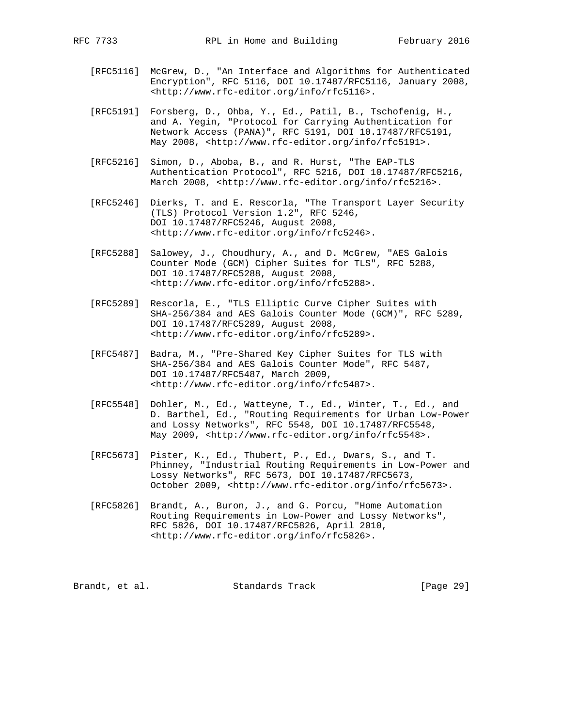- [RFC5116] McGrew, D., "An Interface and Algorithms for Authenticated Encryption", RFC 5116, DOI 10.17487/RFC5116, January 2008, <http://www.rfc-editor.org/info/rfc5116>.
- [RFC5191] Forsberg, D., Ohba, Y., Ed., Patil, B., Tschofenig, H., and A. Yegin, "Protocol for Carrying Authentication for Network Access (PANA)", RFC 5191, DOI 10.17487/RFC5191, May 2008, <http://www.rfc-editor.org/info/rfc5191>.
- [RFC5216] Simon, D., Aboba, B., and R. Hurst, "The EAP-TLS Authentication Protocol", RFC 5216, DOI 10.17487/RFC5216, March 2008, <http://www.rfc-editor.org/info/rfc5216>.
- [RFC5246] Dierks, T. and E. Rescorla, "The Transport Layer Security (TLS) Protocol Version 1.2", RFC 5246, DOI 10.17487/RFC5246, August 2008, <http://www.rfc-editor.org/info/rfc5246>.
	- [RFC5288] Salowey, J., Choudhury, A., and D. McGrew, "AES Galois Counter Mode (GCM) Cipher Suites for TLS", RFC 5288, DOI 10.17487/RFC5288, August 2008, <http://www.rfc-editor.org/info/rfc5288>.
	- [RFC5289] Rescorla, E., "TLS Elliptic Curve Cipher Suites with SHA-256/384 and AES Galois Counter Mode (GCM)", RFC 5289, DOI 10.17487/RFC5289, August 2008, <http://www.rfc-editor.org/info/rfc5289>.
	- [RFC5487] Badra, M., "Pre-Shared Key Cipher Suites for TLS with SHA-256/384 and AES Galois Counter Mode", RFC 5487, DOI 10.17487/RFC5487, March 2009, <http://www.rfc-editor.org/info/rfc5487>.
	- [RFC5548] Dohler, M., Ed., Watteyne, T., Ed., Winter, T., Ed., and D. Barthel, Ed., "Routing Requirements for Urban Low-Power and Lossy Networks", RFC 5548, DOI 10.17487/RFC5548, May 2009, <http://www.rfc-editor.org/info/rfc5548>.
	- [RFC5673] Pister, K., Ed., Thubert, P., Ed., Dwars, S., and T. Phinney, "Industrial Routing Requirements in Low-Power and Lossy Networks", RFC 5673, DOI 10.17487/RFC5673, October 2009, <http://www.rfc-editor.org/info/rfc5673>.
	- [RFC5826] Brandt, A., Buron, J., and G. Porcu, "Home Automation Routing Requirements in Low-Power and Lossy Networks", RFC 5826, DOI 10.17487/RFC5826, April 2010, <http://www.rfc-editor.org/info/rfc5826>.

Brandt, et al. Standards Track [Page 29]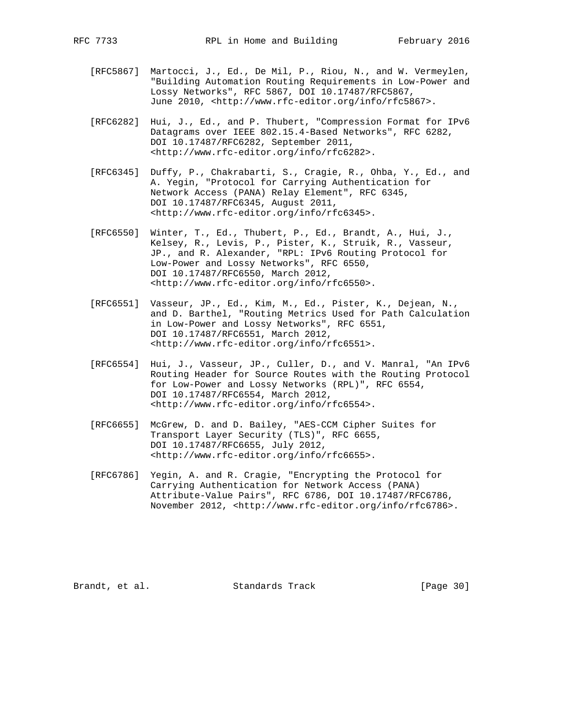- [RFC5867] Martocci, J., Ed., De Mil, P., Riou, N., and W. Vermeylen, "Building Automation Routing Requirements in Low-Power and Lossy Networks", RFC 5867, DOI 10.17487/RFC5867, June 2010, <http://www.rfc-editor.org/info/rfc5867>.
- [RFC6282] Hui, J., Ed., and P. Thubert, "Compression Format for IPv6 Datagrams over IEEE 802.15.4-Based Networks", RFC 6282, DOI 10.17487/RFC6282, September 2011, <http://www.rfc-editor.org/info/rfc6282>.
- [RFC6345] Duffy, P., Chakrabarti, S., Cragie, R., Ohba, Y., Ed., and A. Yegin, "Protocol for Carrying Authentication for Network Access (PANA) Relay Element", RFC 6345, DOI 10.17487/RFC6345, August 2011, <http://www.rfc-editor.org/info/rfc6345>.
- [RFC6550] Winter, T., Ed., Thubert, P., Ed., Brandt, A., Hui, J., Kelsey, R., Levis, P., Pister, K., Struik, R., Vasseur, JP., and R. Alexander, "RPL: IPv6 Routing Protocol for Low-Power and Lossy Networks", RFC 6550, DOI 10.17487/RFC6550, March 2012, <http://www.rfc-editor.org/info/rfc6550>.
- [RFC6551] Vasseur, JP., Ed., Kim, M., Ed., Pister, K., Dejean, N., and D. Barthel, "Routing Metrics Used for Path Calculation in Low-Power and Lossy Networks", RFC 6551, DOI 10.17487/RFC6551, March 2012, <http://www.rfc-editor.org/info/rfc6551>.
- [RFC6554] Hui, J., Vasseur, JP., Culler, D., and V. Manral, "An IPv6 Routing Header for Source Routes with the Routing Protocol for Low-Power and Lossy Networks (RPL)", RFC 6554, DOI 10.17487/RFC6554, March 2012, <http://www.rfc-editor.org/info/rfc6554>.
- [RFC6655] McGrew, D. and D. Bailey, "AES-CCM Cipher Suites for Transport Layer Security (TLS)", RFC 6655, DOI 10.17487/RFC6655, July 2012, <http://www.rfc-editor.org/info/rfc6655>.
- [RFC6786] Yegin, A. and R. Cragie, "Encrypting the Protocol for Carrying Authentication for Network Access (PANA) Attribute-Value Pairs", RFC 6786, DOI 10.17487/RFC6786, November 2012, <http://www.rfc-editor.org/info/rfc6786>.

Brandt, et al. Standards Track [Page 30]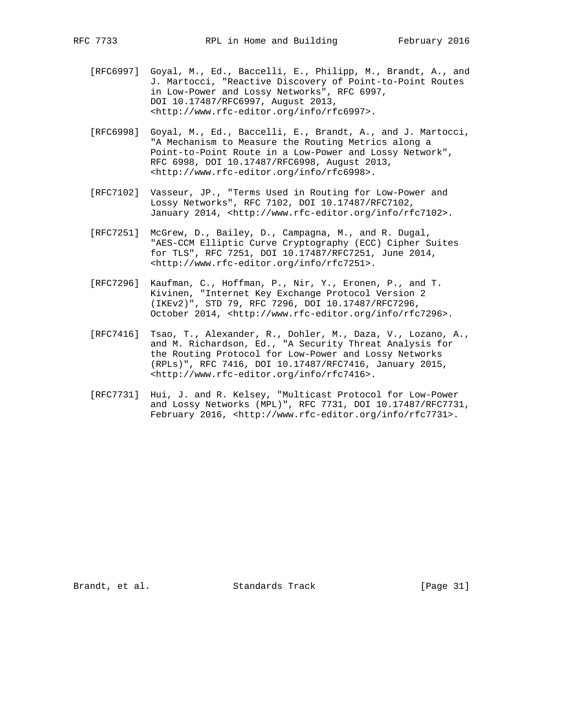- [RFC6997] Goyal, M., Ed., Baccelli, E., Philipp, M., Brandt, A., and J. Martocci, "Reactive Discovery of Point-to-Point Routes in Low-Power and Lossy Networks", RFC 6997, DOI 10.17487/RFC6997, August 2013, <http://www.rfc-editor.org/info/rfc6997>.
- [RFC6998] Goyal, M., Ed., Baccelli, E., Brandt, A., and J. Martocci, "A Mechanism to Measure the Routing Metrics along a Point-to-Point Route in a Low-Power and Lossy Network", RFC 6998, DOI 10.17487/RFC6998, August 2013, <http://www.rfc-editor.org/info/rfc6998>.
- [RFC7102] Vasseur, JP., "Terms Used in Routing for Low-Power and Lossy Networks", RFC 7102, DOI 10.17487/RFC7102, January 2014, <http://www.rfc-editor.org/info/rfc7102>.
- [RFC7251] McGrew, D., Bailey, D., Campagna, M., and R. Dugal, "AES-CCM Elliptic Curve Cryptography (ECC) Cipher Suites for TLS", RFC 7251, DOI 10.17487/RFC7251, June 2014, <http://www.rfc-editor.org/info/rfc7251>.
- [RFC7296] Kaufman, C., Hoffman, P., Nir, Y., Eronen, P., and T. Kivinen, "Internet Key Exchange Protocol Version 2 (IKEv2)", STD 79, RFC 7296, DOI 10.17487/RFC7296, October 2014, <http://www.rfc-editor.org/info/rfc7296>.
- [RFC7416] Tsao, T., Alexander, R., Dohler, M., Daza, V., Lozano, A., and M. Richardson, Ed., "A Security Threat Analysis for the Routing Protocol for Low-Power and Lossy Networks (RPLs)", RFC 7416, DOI 10.17487/RFC7416, January 2015, <http://www.rfc-editor.org/info/rfc7416>.
- [RFC7731] Hui, J. and R. Kelsey, "Multicast Protocol for Low-Power and Lossy Networks (MPL)", RFC 7731, DOI 10.17487/RFC7731, February 2016, <http://www.rfc-editor.org/info/rfc7731>.

Brandt, et al. Standards Track [Page 31]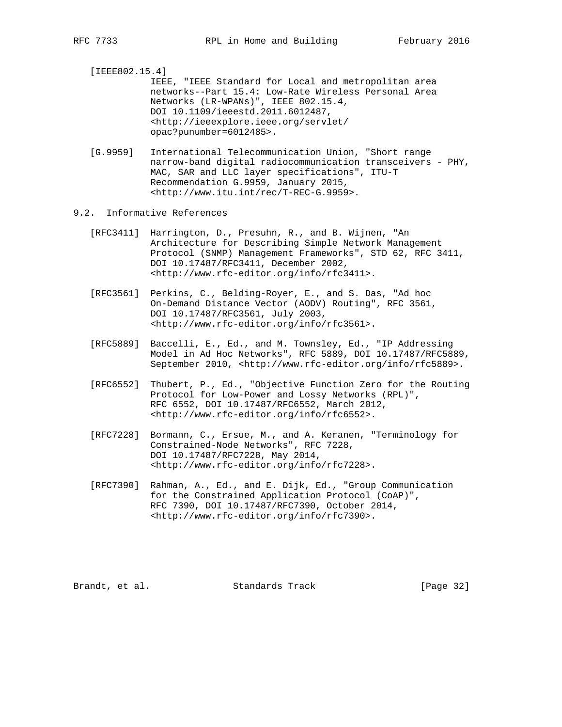[IEEE802.15.4]

- IEEE, "IEEE Standard for Local and metropolitan area networks--Part 15.4: Low-Rate Wireless Personal Area Networks (LR-WPANs)", IEEE 802.15.4, DOI 10.1109/ieeestd.2011.6012487, <http://ieeexplore.ieee.org/servlet/ opac?punumber=6012485>.
- [G.9959] International Telecommunication Union, "Short range narrow-band digital radiocommunication transceivers - PHY, MAC, SAR and LLC layer specifications", ITU-T Recommendation G.9959, January 2015, <http://www.itu.int/rec/T-REC-G.9959>.
- 9.2. Informative References
	- [RFC3411] Harrington, D., Presuhn, R., and B. Wijnen, "An Architecture for Describing Simple Network Management Protocol (SNMP) Management Frameworks", STD 62, RFC 3411, DOI 10.17487/RFC3411, December 2002, <http://www.rfc-editor.org/info/rfc3411>.
	- [RFC3561] Perkins, C., Belding-Royer, E., and S. Das, "Ad hoc On-Demand Distance Vector (AODV) Routing", RFC 3561, DOI 10.17487/RFC3561, July 2003, <http://www.rfc-editor.org/info/rfc3561>.
	- [RFC5889] Baccelli, E., Ed., and M. Townsley, Ed., "IP Addressing Model in Ad Hoc Networks", RFC 5889, DOI 10.17487/RFC5889, September 2010, <http://www.rfc-editor.org/info/rfc5889>.
	- [RFC6552] Thubert, P., Ed., "Objective Function Zero for the Routing Protocol for Low-Power and Lossy Networks (RPL)", RFC 6552, DOI 10.17487/RFC6552, March 2012, <http://www.rfc-editor.org/info/rfc6552>.
	- [RFC7228] Bormann, C., Ersue, M., and A. Keranen, "Terminology for Constrained-Node Networks", RFC 7228, DOI 10.17487/RFC7228, May 2014, <http://www.rfc-editor.org/info/rfc7228>.
	- [RFC7390] Rahman, A., Ed., and E. Dijk, Ed., "Group Communication for the Constrained Application Protocol (CoAP)", RFC 7390, DOI 10.17487/RFC7390, October 2014, <http://www.rfc-editor.org/info/rfc7390>.

Brandt, et al. Standards Track [Page 32]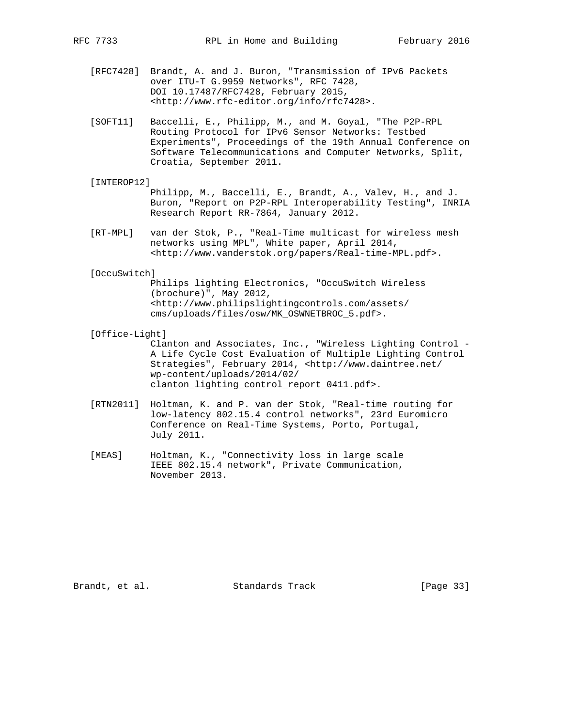- [RFC7428] Brandt, A. and J. Buron, "Transmission of IPv6 Packets over ITU-T G.9959 Networks", RFC 7428, DOI 10.17487/RFC7428, February 2015, <http://www.rfc-editor.org/info/rfc7428>.
- [SOFT11] Baccelli, E., Philipp, M., and M. Goyal, "The P2P-RPL Routing Protocol for IPv6 Sensor Networks: Testbed Experiments", Proceedings of the 19th Annual Conference on Software Telecommunications and Computer Networks, Split, Croatia, September 2011.
- [INTEROP12]
	- Philipp, M., Baccelli, E., Brandt, A., Valev, H., and J. Buron, "Report on P2P-RPL Interoperability Testing", INRIA Research Report RR-7864, January 2012.
- [RT-MPL] van der Stok, P., "Real-Time multicast for wireless mesh networks using MPL", White paper, April 2014, <http://www.vanderstok.org/papers/Real-time-MPL.pdf>.
- [OccuSwitch]

 Philips lighting Electronics, "OccuSwitch Wireless (brochure)", May 2012, <http://www.philipslightingcontrols.com/assets/ cms/uploads/files/osw/MK\_OSWNETBROC\_5.pdf>.

[Office-Light]

 Clanton and Associates, Inc., "Wireless Lighting Control - A Life Cycle Cost Evaluation of Multiple Lighting Control Strategies", February 2014, <http://www.daintree.net/ wp-content/uploads/2014/02/ clanton\_lighting\_control\_report\_0411.pdf>.

- [RTN2011] Holtman, K. and P. van der Stok, "Real-time routing for low-latency 802.15.4 control networks", 23rd Euromicro Conference on Real-Time Systems, Porto, Portugal, July 2011.
- [MEAS] Holtman, K., "Connectivity loss in large scale IEEE 802.15.4 network", Private Communication, November 2013.

Brandt, et al. Standards Track [Page 33]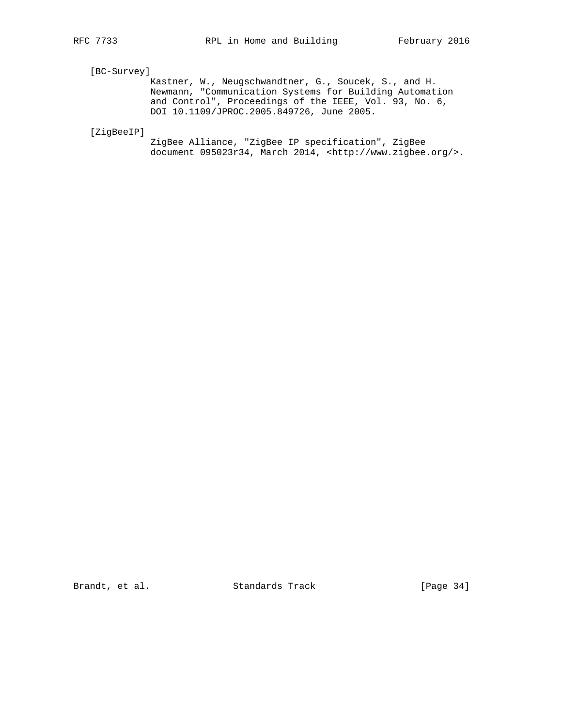# [BC-Survey]

 Kastner, W., Neugschwandtner, G., Soucek, S., and H. Newmann, "Communication Systems for Building Automation and Control", Proceedings of the IEEE, Vol. 93, No. 6, DOI 10.1109/JPROC.2005.849726, June 2005.

[ZigBeeIP]

 ZigBee Alliance, "ZigBee IP specification", ZigBee document 095023r34, March 2014, <http://www.zigbee.org/>.

Brandt, et al. Standards Track [Page 34]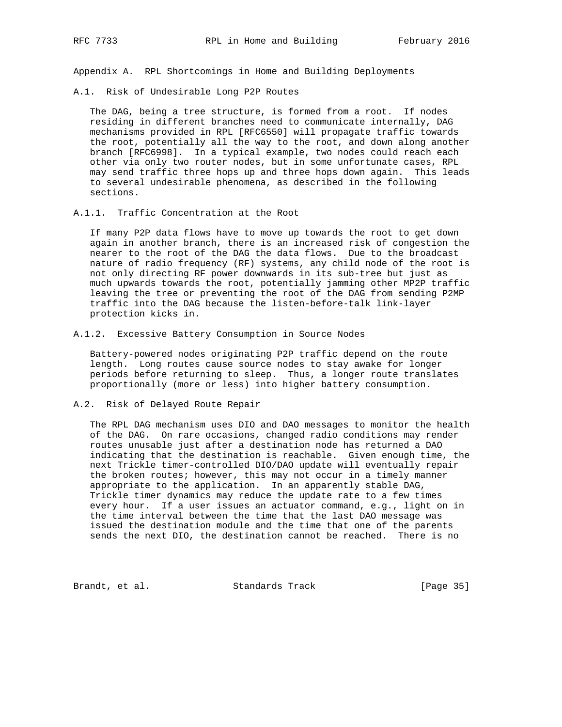Appendix A. RPL Shortcomings in Home and Building Deployments

A.1. Risk of Undesirable Long P2P Routes

 The DAG, being a tree structure, is formed from a root. If nodes residing in different branches need to communicate internally, DAG mechanisms provided in RPL [RFC6550] will propagate traffic towards the root, potentially all the way to the root, and down along another branch [RFC6998]. In a typical example, two nodes could reach each other via only two router nodes, but in some unfortunate cases, RPL may send traffic three hops up and three hops down again. This leads to several undesirable phenomena, as described in the following sections.

A.1.1. Traffic Concentration at the Root

 If many P2P data flows have to move up towards the root to get down again in another branch, there is an increased risk of congestion the nearer to the root of the DAG the data flows. Due to the broadcast nature of radio frequency (RF) systems, any child node of the root is not only directing RF power downwards in its sub-tree but just as much upwards towards the root, potentially jamming other MP2P traffic leaving the tree or preventing the root of the DAG from sending P2MP traffic into the DAG because the listen-before-talk link-layer protection kicks in.

A.1.2. Excessive Battery Consumption in Source Nodes

 Battery-powered nodes originating P2P traffic depend on the route length. Long routes cause source nodes to stay awake for longer periods before returning to sleep. Thus, a longer route translates proportionally (more or less) into higher battery consumption.

A.2. Risk of Delayed Route Repair

 The RPL DAG mechanism uses DIO and DAO messages to monitor the health of the DAG. On rare occasions, changed radio conditions may render routes unusable just after a destination node has returned a DAO indicating that the destination is reachable. Given enough time, the next Trickle timer-controlled DIO/DAO update will eventually repair the broken routes; however, this may not occur in a timely manner appropriate to the application. In an apparently stable DAG, Trickle timer dynamics may reduce the update rate to a few times every hour. If a user issues an actuator command, e.g., light on in the time interval between the time that the last DAO message was issued the destination module and the time that one of the parents sends the next DIO, the destination cannot be reached. There is no

Brandt, et al. Standards Track [Page 35]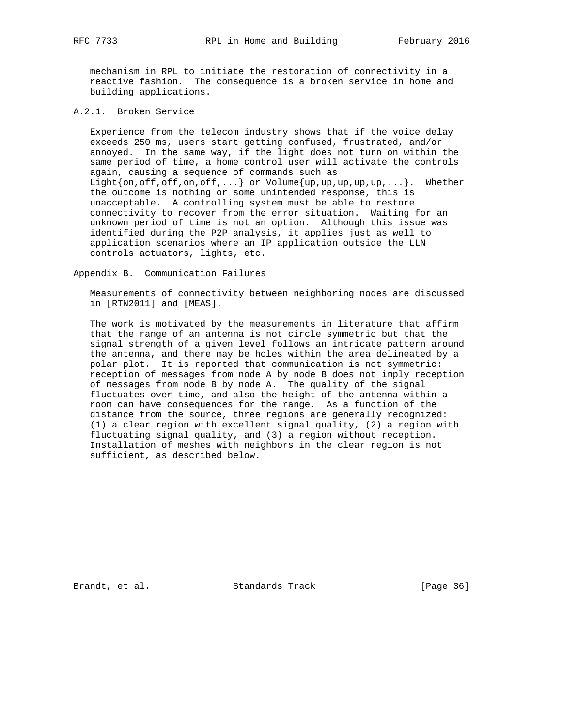mechanism in RPL to initiate the restoration of connectivity in a reactive fashion. The consequence is a broken service in home and building applications.

## A.2.1. Broken Service

 Experience from the telecom industry shows that if the voice delay exceeds 250 ms, users start getting confused, frustrated, and/or annoyed. In the same way, if the light does not turn on within the same period of time, a home control user will activate the controls again, causing a sequence of commands such as Light $\{on,off,off,on,off,...\}$  or Volume $\{up,up,up,up,up,...\}$ . Whether the outcome is nothing or some unintended response, this is unacceptable. A controlling system must be able to restore connectivity to recover from the error situation. Waiting for an unknown period of time is not an option. Although this issue was identified during the P2P analysis, it applies just as well to application scenarios where an IP application outside the LLN controls actuators, lights, etc.

Appendix B. Communication Failures

 Measurements of connectivity between neighboring nodes are discussed in [RTN2011] and [MEAS].

 The work is motivated by the measurements in literature that affirm that the range of an antenna is not circle symmetric but that the signal strength of a given level follows an intricate pattern around the antenna, and there may be holes within the area delineated by a polar plot. It is reported that communication is not symmetric: reception of messages from node A by node B does not imply reception of messages from node B by node A. The quality of the signal fluctuates over time, and also the height of the antenna within a room can have consequences for the range. As a function of the distance from the source, three regions are generally recognized: (1) a clear region with excellent signal quality, (2) a region with fluctuating signal quality, and (3) a region without reception. Installation of meshes with neighbors in the clear region is not sufficient, as described below.

Brandt, et al. Standards Track [Page 36]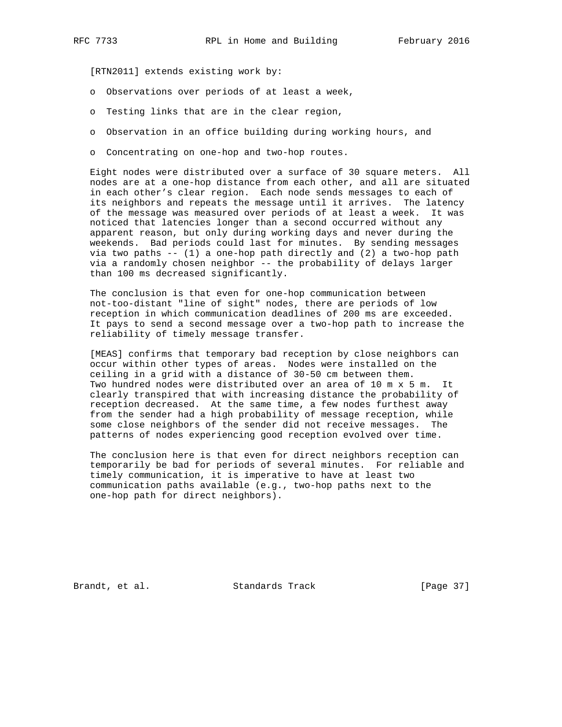[RTN2011] extends existing work by:

- o Observations over periods of at least a week,
- o Testing links that are in the clear region,
- o Observation in an office building during working hours, and
- o Concentrating on one-hop and two-hop routes.

 Eight nodes were distributed over a surface of 30 square meters. All nodes are at a one-hop distance from each other, and all are situated in each other's clear region. Each node sends messages to each of its neighbors and repeats the message until it arrives. The latency of the message was measured over periods of at least a week. It was noticed that latencies longer than a second occurred without any apparent reason, but only during working days and never during the weekends. Bad periods could last for minutes. By sending messages via two paths -- (1) a one-hop path directly and (2) a two-hop path via a randomly chosen neighbor -- the probability of delays larger than 100 ms decreased significantly.

 The conclusion is that even for one-hop communication between not-too-distant "line of sight" nodes, there are periods of low reception in which communication deadlines of 200 ms are exceeded. It pays to send a second message over a two-hop path to increase the reliability of timely message transfer.

 [MEAS] confirms that temporary bad reception by close neighbors can occur within other types of areas. Nodes were installed on the ceiling in a grid with a distance of 30-50 cm between them. Two hundred nodes were distributed over an area of 10 m x 5 m. It clearly transpired that with increasing distance the probability of reception decreased. At the same time, a few nodes furthest away from the sender had a high probability of message reception, while some close neighbors of the sender did not receive messages. The patterns of nodes experiencing good reception evolved over time.

 The conclusion here is that even for direct neighbors reception can temporarily be bad for periods of several minutes. For reliable and timely communication, it is imperative to have at least two communication paths available (e.g., two-hop paths next to the one-hop path for direct neighbors).

Brandt, et al. Standards Track [Page 37]